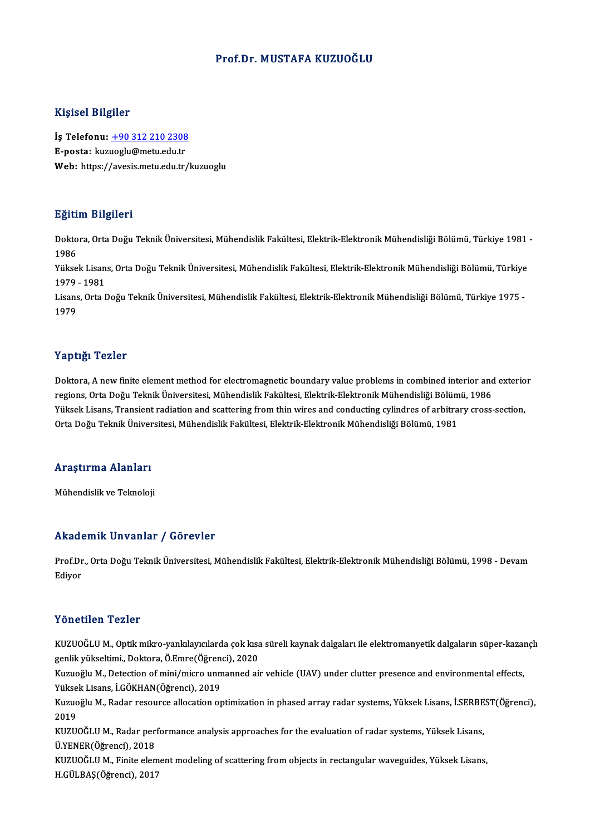#### Prof.Dr.MUSTAFA KUZUOĞLU

#### Kişisel Bilgiler

Kişisel Bilgiler<br>İş Telefonu: <u>+90 312 210 2308</u><br>E nasta: kuruaslu@metu.edu.tr 11131021<br>İş Telefonu: <u>+90 312 210 2308</u><br>E-posta: kuz[uoglu@metu.edu.tr](tel:+90 312 210 2308)<br>Web: https://avosis.metu.edu.tr E-posta: kuzuoglu@metu.edu.tr<br>Web: https://avesis.metu.edu.tr/kuzuoglu

#### Eğitim Bilgileri

**Eğitim Bilgileri**<br>Doktora, Orta Doğu Teknik Üniversitesi, Mühendislik Fakültesi, Elektrik-Elektronik Mühendisliği Bölümü, Türkiye 1981 -<br>1986 ngref<br>Dokto<br>1986<br><sup>Välses</sup> Doktora, Orta Doğu Teknik Üniversitesi, Mühendislik Fakültesi, Elektrik-Elektronik Mühendisliği Bölümü, Türkiye 1981<br>1986<br>Yüksek Lisans, Orta Doğu Teknik Üniversitesi, Mühendislik Fakültesi, Elektrik-Elektronik Mühendisliğ

1986<br>Yüksek Lisan<br>1979 - 1981<br>Lisans, Orta L Yüksek Lisans, Orta Doğu Teknik Üniversitesi, Mühendislik Fakültesi, Elektrik-Elektronik Mühendisliği Bölümü, Türkiye<br>1979 - 1981<br>Lisans, Orta Doğu Teknik Üniversitesi, Mühendislik Fakültesi, Elektrik-Elektronik Mühendisli

1979 - 1981<br>Lisans, Orta Doğu Teknik Üniversitesi, Mühendislik Fakültesi, Elektrik-Elektronik Mühendisliği Bölümü, Türkiye 1975 -<br>1979

#### Yaptığı Tezler

Yaptığı Tezler<br>Doktora, A new finite element method for electromagnetic boundary value problems in combined interior and exterior<br>regions Orte Doğu Telmik Üniversitesi Mühandislik Fekültesi, Flektrik Flektronik Mühandisliğ r ap sigt rezist<br>Doktora, A new finite element method for electromagnetic boundary value problems in combined interior and<br>regions, Orta Doğu Teknik Üniversitesi, Mühendislik Fakültesi, Elektrik-Elektronik Mühendisliği Böl Doktora, A new finite element method for electromagnetic boundary value problems in combined interior and exterio<br>regions, Orta Doğu Teknik Üniversitesi, Mühendislik Fakültesi, Elektrik-Elektronik Mühendisliği Bölümü, 1986 regions, Orta Doğu Teknik Üniversitesi, Mühendislik Fakültesi, Elektrik-Elektronik Mühendisliği Bölümü, 1986<br>Yüksek Lisans, Transient radiation and scattering from thin wires and conducting cylindres of arbitrary cross-sec

# orta boğu Teknik oniver<br>Araştırma Alanları <mark>Araştırma Alanları</mark><br>Mühendislik ve Teknoloji

# Mühendislik ve Teknoloji<br>Akademik Unvanlar / Görevler

Akademik Unvanlar / Görevler<br>Prof.Dr., Orta Doğu Teknik Üniversitesi, Mühendislik Fakültesi, Elektrik-Elektronik Mühendisliği Bölümü, 1998 - Devam<br>Ediyar rrnaa<br>Prof.Dr<br>Ediyor Yönetilen Tezler

Yönetilen Tezler<br>KUZUOĞLU M., Optik mikro-yankılayıcılarda çok kısa süreli kaynak dalgaları ile elektromanyetik dalgaların süper-kazançlı<br>Sanlik vükseltimi, Dektere, Ö.Emre(Öğrengi), 2020 1 SILSEILEI 1 SILSI<br>KUZUOĞLU M., Optik mikro-yankılayıcılarda çok kısa<br>genlik yükseltimi., Doktora, Ö.Emre(Öğrenci), 2020<br>Kuzuoğlu M. Detection of mini/micro unmanned ai KUZUOĞLU M., Optik mikro-yankılayıcılarda çok kısa süreli kaynak dalgaları ile elektromanyetik dalgaların süper-kazaı<br>genlik yükseltimi., Doktora, Ö.Emre(Öğrenci), 2020<br>Kuzuoğlu M., Detection of mini/micro unmanned air veh

genlik yükseltimi., Doktora, Ö.Emre(Öğren<br>Kuzuoğlu M., Detection of mini/micro unn<br>Yüksek Lisans, İ.GÖKHAN(Öğrenci), 2019<br>Kuzuoğlu M., Peder reseurse allesation er Kuzuoğlu M., Detection of mini/micro unmanned air vehicle (UAV) under clutter presence and environmental effects,<br>Yüksek Lisans, İ.GÖKHAN(Öğrenci), 2019<br>Kuzuoğlu M., Radar resource allocation optimization in phased array r

Yükse<br>Kuzuo<br>2019<br>EUZU Kuzuoğlu M., Radar resource allocation optimization in phased array radar systems, Yüksek Lisans, İ.SERBE<br>2019<br>KUZUOĞLU M., Radar performance analysis approaches for the evaluation of radar systems, Yüksek Lisans,<br>Ü.VENER(

2019<br>KUZUOĞLU M., Radar per:<br>Ü.YENER(Öğrenci), 2018<br>KUZUOĞLU M. Finita elen KUZUOĞLU M., Radar performance analysis approaches for the evaluation of radar systems, Yüksek Lisans,<br>Ü.YENER(Öğrenci), 2018<br>KUZUOĞLU M., Finite element modeling of scattering from objects in rectangular waveguides, Yükse

Ü.YENER(Öğrenci), 2018<br>KUZUOĞLU M., Finite element modeling of scattering from objects in rectangular waveguides, Yüksek Lisans,<br>H.GÜLBAŞ(Öğrenci), 2017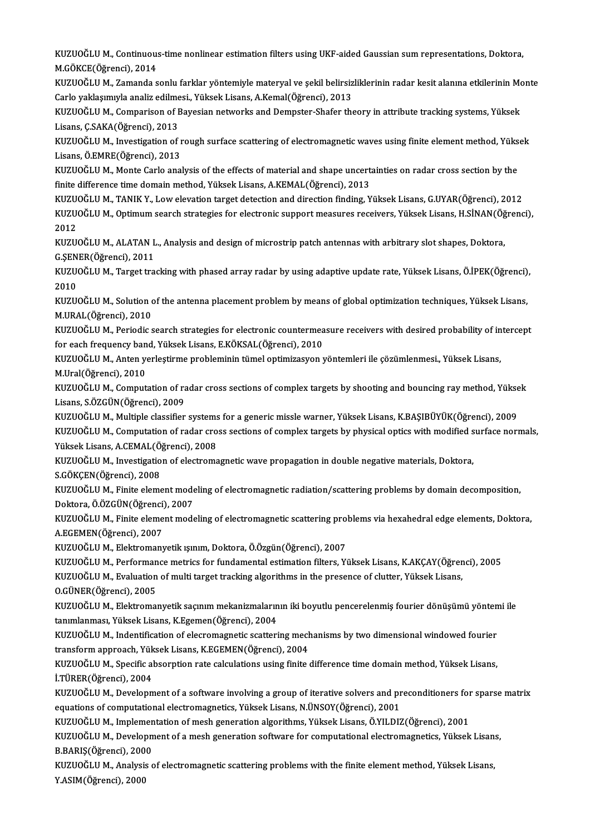KUZUOĞLU M., Continuous-time nonlinear estimation filters using UKF-aided Gaussian sum representations, Doktora,<br>M.GÖKCE(Öğrengi), 2014 KUZUOĞLU M., Continuou:<br>M.GÖKCE(Öğrenci), 2014<br>KUZUOĞLU M. Zamanda a KUZUOĞLU M., Continuous-time nonlinear estimation filters using UKF-aided Gaussian sum representations, Doktora,<br>M.GÖKCE(Öğrenci), 2014<br>KUZUOĞLU M., Zamanda sonlu farklar yöntemiyle materyal ve şekil belirsizliklerinin rad

M.GÖKCE(Öğrenci), 2014<br>KUZUOĞLU M., Zamanda sonlu farklar yöntemiyle materyal ve şekil belirsiz<br>Carlo yaklaşımıyla analiz edilmesi., Yüksek Lisans, A.Kemal(Öğrenci), 2013<br>KUZUOĞLU M. Comporison of Bayssian natyorliş and Do KUZUOĞLU M., Zamanda sonlu farklar yöntemiyle materyal ve şekil belirsizliklerinin radar kesit alanına etkilerinin Mo<br>Carlo yaklaşımıyla analiz edilmesi., Yüksek Lisans, A.Kemal(Öğrenci), 2013<br>KUZUOĞLU M., Comparison of Ba

Carlo yaklaşımıyla analiz edilmesi., Yüksek Lisans, A.Kemal(Öğrenci), 2013<br>KUZUOĞLU M., Comparison of Bayesian networks and Dempster-Shafer theory in attribute tracking systems, Yüksek<br>Lisans, Ç.SAKA(Öğrenci), 2013 KUZUOĞLU M., Comparison of Bayesian networks and Dempster-Shafer theory in attribute tracking systems, Yüksek<br>Lisans, Ç.SAKA(Öğrenci), 2013<br>KUZUOĞLU M., Investigation of rough surface scattering of electromagnetic waves us

Lisans, Ç.SAKA(Öğrenci), 2013<br>KUZUOĞLU M., Investigation of r<br>Lisans, Ö.EMRE(Öğrenci), 2013<br>KUZUOĞLU M. Monte Carla anal KUZUOĞLU M., Investigation of rough surface scattering of electromagnetic waves using finite element method, Yüks<br>Lisans, Ö.EMRE(Öğrenci), 2013<br>KUZUOĞLU M., Monte Carlo analysis of the effects of material and shape uncerta

Lisans, Ö.EMRE(Öğrenci), 2013<br>KUZUOĞLU M., Monte Carlo analysis of the effects of material and shape uncertainties on radar cross section by the<br>finite difference time domain method, Yüksek Lisans, A.KEMAL(Öğrenci), 2013 KUZUOĞLU M., Monte Carlo analysis of the effects of material and shape uncertainties on radar cross section by the<br>finite difference time domain method, Yüksek Lisans, A.KEMAL(Öğrenci), 2013<br>KUZUOĞLU M., TANIK Y., Low elev

KUZUOĞLU M., Optimum search strategies for electronic support measures receivers, Yüksek Lisans, H.SİNAN(Öğrenci),<br>2012 KUZU<br>KUZU<br>2012<br>KUZU KUZUOĞLU M., Optimum search strategies for electronic support measures receivers, Yüksek Lisans, H.SİNAN(Öğ<br>2012<br>KUZUOĞLU M., ALATAN L., Analysis and design of microstrip patch antennas with arbitrary slot shapes, Doktora,

2012<br>KUZUOĞLU M., ALATAN L<br>G.ŞENER(Öğrenci), 2011<br>KUZUOĞLU M. Target tra KUZUOĞLU M., ALATAN L., Analysis and design of microstrip patch antennas with arbitrary slot shapes, Doktora,<br>G.ŞENER(Öğrenci), 2011<br>KUZUOĞLU M., Target tracking with phased array radar by using adaptive update rate, Yükse

G.ŞENER(Öğrenci), 2011<br>KUZUOĞLU M., Target tra<br>2010 KUZUOĞLU M., Target tracking with phased array radar by using adaptive update rate, Yüksek Lisans, Ö.İPEK(Öğrenci),<br>2010<br>KUZUOĞLU M., Solution of the antenna placement problem by means of global optimization techniques, Yü

KUZUOĞLU M., Solution of the antenna placement problem by means of global optimization techniques, Yüksek Lisans, KUZUOĞLU M., Solution of the antenna placement problem by means of global optimization techniques, Yüksek Lisans,<br>M.URAL(Öğrenci), 2010<br>KUZUOĞLU M., Periodic search strategies for electronic countermeasure receivers with d

M.URAL(Öğrenci), 2010<br>KUZUOĞLU M., Periodic search strategies for electronic countermea<br>for each frequency band, Yüksek Lisans, E.KÖKSAL(Öğrenci), 2010<br>KUZUOČLU M. Anton verkstirme prebleminin tümel entimizesyen y KUZUOĞLU M., Periodic search strategies for electronic countermeasure receivers with desired probability of in<br>for each frequency band, Yüksek Lisans, E.KÖKSAL(Öğrenci), 2010<br>KUZUOĞLU M., Anten yerleştirme probleminin tüme

for each frequency band, Yüksek Lisans, E.KÖKSAL(Öğrenci), 2010<br>KUZUOĞLU M., Anten yerleştirme probleminin tümel optimizasyon yöntemleri ile çözümlenmesi., Yüksek Lisans,<br>M.Ural(Öğrenci), 2010 KUZUOĞLU M., Anten yerleştirme probleminin tümel optimizasyon yöntemleri ile çözümlenmesi., Yüksek Lisans,<br>M.Ural(Öğrenci), 2010<br>KUZUOĞLU M., Computation of radar cross sections of complex targets by shooting and bouncing

M.Ural(Öğrenci), 2010<br>KUZUOĞLU M., Computation of ra<br>Lisans, S.ÖZGÜN(Öğrenci), 2009<br>KUZUOĞLU M. Multiple elessifier KUZUOĞLU M., Computation of radar cross sections of complex targets by shooting and bouncing ray method, Yükse<br>Lisans, S.ÖZGÜN(Öğrenci), 2009<br>KUZUOĞLU M., Multiple classifier systems for a generic missle warner, Yüksek Lis

KUZUOĞLU M., Multiple classifier systems for a generic missle warner, Yüksek Lisans, K.BAŞIBÜYÜK(Öğrenci), 2009

Lisans, S.ÖZGÜN(Öğrenci), 2009<br>KUZUOĞLU M., Multiple classifier systems for a generic missle warner, Yüksek Lisans, K.BAŞIBÜYÜK(Öğrenci), 2009<br>KUZUOĞLU M., Computation of radar cross sections of complex targets by physical KUZUOĞLU M., Computation of radar cross sections of complex targets by physical optics with modified s<br>Yüksek Lisans, A.CEMAL(Öğrenci), 2008<br>KUZUOĞLU M., Investigation of electromagnetic wave propagation in double negative Yüksek Lisans, A.CEMAL(Ö)<br>KUZUOĞLU M., Investigatio<br>S.GÖKÇEN(Öğrenci), 2008<br>KUZUOĞLU M. Einite alame

KUZUOĞLU M., Investigation of electromagnetic wave propagation in double negative materials, Doktora,<br>S.GÖKÇEN(Öğrenci), 2008<br>KUZUOĞLU M., Finite element modeling of electromagnetic radiation/scattering problems by domain S.GÖKÇEN(Öğrenci), 2008<br>KUZUOĞLU M., Finite element mode<br>Doktora, Ö.ÖZGÜN(Öğrenci), 2007<br>KUZUOĞLU M., Finite element mode KUZUOĞLU M., Finite element modeling of electromagnetic radiation/scattering problems by domain decomposition,<br>Doktora, Ö.ÖZGÜN(Öğrenci), 2007<br>KUZUOĞLU M., Finite element modeling of electromagnetic scattering problems via

Doktora, Ö.ÖZGÜN(Öğrenci)<br>KUZUOĞLU M., Finite eleme<br>A.EGEMEN(Öğrenci), 2007<br>VUZUOĞLU M. Elektromanı KUZUOĞLU M., Finite element modeling of electromagnetic scattering pro<br>A.EGEMEN(Öğrenci), 2007<br>KUZUOĞLU M., Elektromanyetik ışınım, Doktora, Ö.Özgün(Öğrenci), 2007<br>KUZUOĞLU M., Perfermanse metrise for fundamental estimatio

A.EGEMEN(Öğrenci), 2007<br>KUZUOĞLU M., Elektromanyetik ışınım, Doktora, Ö.Özgün(Öğrenci), 2007<br>KUZUOĞLU M., Performance metrics for fundamental estimation filters, Yüksek Lisans, K.AKÇAY(Öğrenci), 2005<br>KUZUOĞLU M., Evalyatio KUZUOĞLU M., Elektromanyetik ışınım, Doktora, Ö.Özgün(Öğrenci), 2007<br>KUZUOĞLU M., Performance metrics for fundamental estimation filters, Yüksek Lisans, K.AKÇAY(Öğren<br>KUZUOĞLU M., Evaluation of multi target tracking algori KUZUOĞLU M., Evaluation of multi target tracking algorithms in the presence of clutter, Yüksek Lisans, O.GÜNER(Öğrenci), 2005

KUZUOĞLU M., Evaluation of multi target tracking algorithms in the presence of clutter, Yüksek Lisans,<br>O.GÜNER(Öğrenci), 2005<br>KUZUOĞLU M., Elektromanyetik saçınım mekanizmalarının iki boyutlu pencerelenmiş fourier dönüşümü 0.GÜNER(Öğrenci), 2005<br>KUZUOĞLU M., Elektromanyetik saçınım mekanizmaların<br>tanımlanması, Yüksek Lisans, K.Egemen(Öğrenci), 2004<br>KUZUOĞLU M. Indontification of elesromagnetis setteri KUZUOĞLU M., Elektromanyetik saçınım mekanizmalarının iki boyutlu pencerelenmiş fourier dönüşümü yönten<br>tanımlanması, Yüksek Lisans, K.Egemen(Öğrenci), 2004<br>KUZUOĞLU M., Indentification of elecromagnetic scattering mechani

tanımlanması, Yüksek Lisans, K.Egemen(Öğrenci), 2004<br>KUZUOĞLU M., Indentification of elecromagnetic scattering mech<br>transform approach, Yüksek Lisans, K.EGEMEN(Öğrenci), 2004<br>KUZUOĞLU M. Specific absorntion rate selevletio KUZUOĞLU M., Indentification of elecromagnetic scattering mechanisms by two dimensional windowed fourier<br>transform approach, Yüksek Lisans, K.EGEMEN(Öğrenci), 2004<br>KUZUOĞLU M., Specific absorption rate calculations using f

transform approach, Yüksek Lisans, K.EGEMEN(Öğrenci), 2004<br>KUZUOĞLU M., Specific absorption rate calculations using finite difference time domain method, Yüksek Lisans,<br>İ.TÜRER(Öğrenci), 2004 KUZUOĞLU M., Specific absorption rate calculations using finite difference time domain method, Yüksek Lisans,<br>İ.TÜRER(Öğrenci), 2004<br>KUZUOĞLU M., Development of a software involving a group of iterative solvers and precond

i.TÜRER(Öğrenci), 2004<br>KUZUOĞLU M., Development of a software involving a group of iterative solvers and pr<br>equations of computational electromagnetics, Yüksek Lisans, N.ÜNSOY(Öğrenci), 2001<br>KUZUOĞLU M. Implementation of m KUZUOĞLU M., Development of a software involving a group of iterative solvers and preconditioners for<br>equations of computational electromagnetics, Yüksek Lisans, N.ÜNSOY(Öğrenci), 2001<br>KUZUOĞLU M., Implementation of mesh g

equations of computational electromagnetics, Yüksek Lisans, N.ÜNSOY(Öğrenci), 2001<br>KUZUOĞLU M., Implementation of mesh generation algorithms, Yüksek Lisans, Ö.YILDIZ(Öğrenci), 2001<br>KUZUOĞLU M., Development of a mesh genera KUZUOĞLU M., Implemen<br>KUZUOĞLU M., Developn<br>B.BARIŞ(Öğrenci), 2000<br>KUZUOĞLU M. Anakrais s KUZUOĞLU M., Development of a mesh generation software for computational electromagnetics, Yüksek Lisan:<br>B.BARIŞ(Öğrenci), 2000<br>KUZUOĞLU M., Analysis of electromagnetic scattering problems with the finite element method, Y

B.BARIŞ(Öğrenci), 2000<br>KUZUOĞLU M., Analysis of electromagnetic scattering problems with the finite element method, Yüksek Lisans,<br>Y.ASIM(Öğrenci), 2000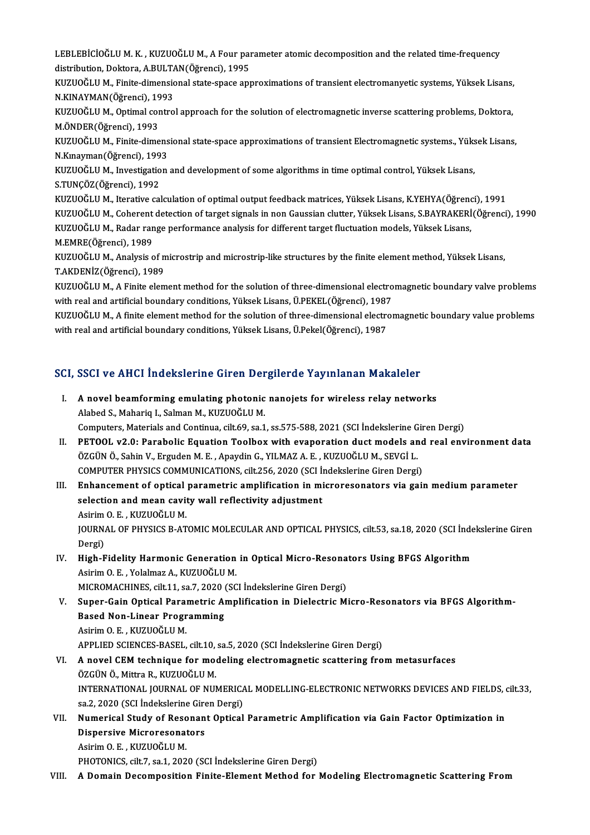LEBLEBİCİOĞLU M. K. , KUZUOĞLU M., A Four parameter atomic decomposition and the related time-frequency<br>distribution, Doktore, A BULTAN(Öğrenci), 1995 LEBLEBİCİOĞLU M. K. , KUZUOĞLU M., A Four paı<br>distribution, Doktora, A.BULTAN(Öğrenci), 1995<br>KUZUOČLU M. Finite dimensional state enece anı LEBLEBİCİOĞLU M. K. , KUZUOĞLU M., A Four parameter atomic decomposition and the related time-frequency<br>distribution, Doktora, A.BULTAN(Öğrenci), 1995<br>KUZUOĞLU M., Finite-dimensional state-space approximations of transient

distribution, Doktora, A.BULTAN(Öğrenci), 1995<br>KUZUOĞLU M., Finite-dimensional state-space approximations of transient electromanyetic systems, Yüksek Lisans,<br>N.KINAYMAN(Öğrenci), 1993<br>KUZUOĞLU M., Optimal control approach N.KINAYMAN(Öğrenci), 1993

KUZUOĞLU M., Finite-dimensional state-space approximations of transient electromanyetic systems, Yüksek Lisans,<br>N.KINAYMAN(Öğrenci), 1993<br>KUZUOĞLU M., Optimal control approach for the solution of electromagnetic inverse sc KUZUOĞLU M., Optimal control approach for the solution of electromagnetic inverse scattering problems, Doktora,<br>M.ÖNDER(Öğrenci), 1993<br>KUZUOĞLU M., Finite-dimensional state-space approximations of transient Electromagnetic

M.ÖNDER(Öğrenci), 1993<br>KUZUOĞLU M., Finite-dimens<br>N.Kınayman(Öğrenci), 1993<br>KUZUOĞLU M. İnvestisation KUZUOĞLU M., Finite-dimensional state-space approximations of transient Electromagnetic systems., Yüks<br>N.Kınayman(Öğrenci), 1993<br>KUZUOĞLU M., Investigation and development of some algorithms in time optimal control, Yüksek

N.Kınayman(Öğrenci), 199<br>KUZUOĞLU M., Investigatio<br>S.TUNÇÖZ(Öğrenci), 1992<br>KUZUOĞLU M. Itarative səl KUZUOĞLU M., Investigation and development of some algorithms in time optimal control, Yüksek Lisans,<br>S.TUNÇÖZ(Öğrenci), 1992<br>KUZUOĞLU M., Iterative calculation of optimal output feedback matrices, Yüksek Lisans, K.YEHYA(Ö

S.TUNÇÖZ(Öğrenci), 1992<br>KUZUOĞLU M., Iterative calculation of optimal output feedback matrices, Yüksek Lisans, K.YEHYA(Öğrenci), 1991<br>KUZUOĞLU M., Coherent detection of target signals in non Gaussian clutter, Yüksek Lisans KUZUOĞLU M., Iterative calculation of optimal output feedback matrices, Yüksek Lisans, K.YEHYA(Öğrenci), 1991 M.EMRE(Öğrenci),1989 KUZUOĞLU M., Radar range performance analysis for different target fluctuation models, Yüksek Lisans,<br>M.EMRE(Öğrenci), 1989<br>KUZUOĞLU M., Analysis of microstrip and microstrip-like structures by the finite element method, Y

M.EMRE(Öğrenci), 1989<br>KUZUOĞLU M., Analysis of n<br>T.AKDENİZ(Öğrenci), 1989<br>KUZUOĞLU M. A Finite elem KUZUOĞLU M., Analysis of microstrip and microstrip-like structures by the finite element method, Yüksek Lisans,<br>T.AKDENİZ(Öğrenci), 1989<br>KUZUOĞLU M., A Finite element method for the solution of three-dimensional electromag

T.AKDENİZ(Öğrenci), 1989<br>KUZUOĞLU M., A Finite element method for the solution of three-dimensional electro<br>with real and artificial boundary conditions, Yüksek Lisans, Ü.PEKEL(Öğrenci), 1987<br>KUZUOĞLU M. A finite element m

KUZUOĞLU M., A Finite element method for the solution of three-dimensional electromagnetic boundary valve problems<br>with real and artificial boundary conditions, Yüksek Lisans, Ü.PEKEL(Öğrenci), 1987<br>KUZUOĞLU M., A finite e with real and artificial boundary conditions, Yüksek Lisans, Ü.PEKEL(Öğrenci), 1987<br>KUZUOĞLU M., A finite element method for the solution of three-dimensional electro<br>with real and artificial boundary conditions, Yüksek Li

# with real and artificial boundary conditions, ruksek Lisans, oliekel(Ogrenci), 1987<br>SCI, SSCI ve AHCI İndekslerine Giren Dergilerde Yayınlanan Makaleler

|       | SCI, SSCI ve AHCI İndekslerine Giren Dergilerde Yayınlanan Makaleler                                                                                                                                |
|-------|-----------------------------------------------------------------------------------------------------------------------------------------------------------------------------------------------------|
| L     | A novel beamforming emulating photonic nanojets for wireless relay networks                                                                                                                         |
|       | Alabed S., Mahariq I., Salman M., KUZUOĞLU M.                                                                                                                                                       |
| П.    | Computers, Materials and Continua, cilt.69, sa.1, ss.575-588, 2021 (SCI İndekslerine Giren Dergi)<br>PETOOL v2.0: Parabolic Equation Toolbox with evaporation duct models and real environment data |
|       | ÖZGÜN Ö., Sahin V., Erguden M. E., Apaydin G., YILMAZ A. E., KUZUOĞLU M., SEVGİ L.                                                                                                                  |
|       | COMPUTER PHYSICS COMMUNICATIONS, cilt.256, 2020 (SCI İndekslerine Giren Dergi)                                                                                                                      |
| III.  | Enhancement of optical parametric amplification in microresonators via gain medium parameter                                                                                                        |
|       | selection and mean cavity wall reflectivity adjustment                                                                                                                                              |
|       | Asirim O. E., KUZUOĞLU M.                                                                                                                                                                           |
|       | JOURNAL OF PHYSICS B-ATOMIC MOLECULAR AND OPTICAL PHYSICS, cilt.53, sa.18, 2020 (SCI Indekslerine Giren                                                                                             |
|       | Dergi)                                                                                                                                                                                              |
| IV.   | High-Fidelity Harmonic Generation in Optical Micro-Resonators Using BFGS Algorithm                                                                                                                  |
|       | Asirim O. E., Yolalmaz A., KUZUOĞLU M.                                                                                                                                                              |
|       | MICROMACHINES, cilt.11, sa.7, 2020 (SCI Indekslerine Giren Dergi)                                                                                                                                   |
| V.    | Super-Gain Optical Parametric Amplification in Dielectric Micro-Resonators via BFGS Algorithm-                                                                                                      |
|       | <b>Based Non-Linear Programming</b>                                                                                                                                                                 |
|       | Asirim O. E., KUZUOĞLU M.                                                                                                                                                                           |
|       | APPLIED SCIENCES-BASEL, cilt.10, sa.5, 2020 (SCI Indekslerine Giren Dergi)                                                                                                                          |
| VI.   | A novel CEM technique for modeling electromagnetic scattering from metasurfaces                                                                                                                     |
|       | ÖZGÜN Ö., Mittra R., KUZUOĞLU M.                                                                                                                                                                    |
|       | INTERNATIONAL JOURNAL OF NUMERICAL MODELLING-ELECTRONIC NETWORKS DEVICES AND FIELDS, cilt.33,                                                                                                       |
|       | sa.2, 2020 (SCI İndekslerine Giren Dergi)                                                                                                                                                           |
| VII.  | Numerical Study of Resonant Optical Parametric Amplification via Gain Factor Optimization in                                                                                                        |
|       | <b>Dispersive Microresonators</b>                                                                                                                                                                   |
|       | Asirim O. E., KUZUOĞLU M.                                                                                                                                                                           |
|       | PHOTONICS, cilt.7, sa.1, 2020 (SCI Indekslerine Giren Dergi)                                                                                                                                        |
| VIII. | A Domain Decomposition Finite-Element Method for Modeling Electromagnetic Scattering From                                                                                                           |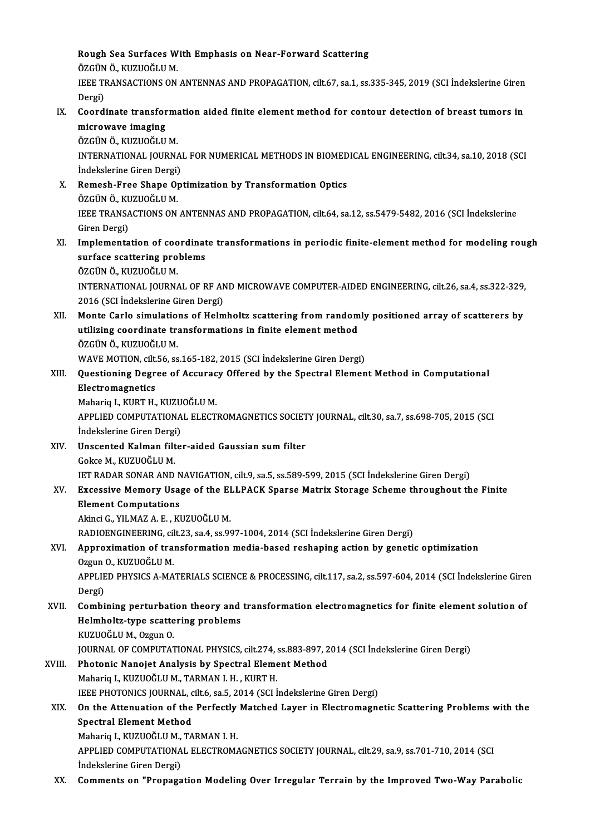Rough Sea Surfaces With Emphasis on Near-Forward Scattering Rough Sea Surfaces W<br>ÖZGÜN Ö., KUZUOĞLU M.<br>JEEE TRANSACTIONS ON Rough Sea Surfaces With Emphasis on Near-Forward Scattering<br>ÖZGÜN Ö., KUZUOĞLU M.<br>IEEE TRANSACTIONS ON ANTENNAS AND PROPAGATION, cilt.67, sa.1, ss.335-345, 2019 (SCI İndekslerine Giren<br>Persi) ÖZGÜN<br>IEEE TI<br>Dergi)<br>Geerd IEEE TRANSACTIONS ON ANTENNAS AND PROPAGATION, cilt.67, sa.1, ss.335-345, 2019 (SCI İndekslerine Giren<br>Dergi)<br>IX. Coordinate transformation aided finite element method for contour detection of breast tumors in<br>misrowayo im Dergi)<br>IX. Coordinate transformation aided finite element method for contour detection of breast tumors in<br>microwave imaging ÖZGÜN Ö., KUZUOĞLU M. microwave imaging<br>ÖZGÜN Ö., KUZUOĞLU M.<br>INTERNATIONAL JOURNAL FOR NUMERICAL METHODS IN BIOMEDICAL ENGINEERING, cilt.34, sa.10, 2018 (SCI<br>İndekslerine Ciren Dergi) ÖZGÜN Ö., KUZUOĞLU M.<br>INTERNATIONAL JOURNA<br>İndekslerine Giren Dergi)<br>Bamash Erea Shana On INTERNATIONAL JOURNAL FOR NUMERICAL METHODS IN BIOMED<br>
indekslerine Giren Dergi)<br>
X. Remesh-Free Shape Optimization by Transformation Optics<br>
ÖZCÜN Ö KUZUQČLU M İndekslerine Giren Dergi)<br>Remesh-Free Shape O<sub>l</sub><br>ÖZGÜN Ö., KUZUOĞLU M.<br>IEEE TRANSACTIONS ON Remesh-Free Shape Optimization by Transformation Optics<br>ÖZGÜN Ö., KUZUOĞLU M.<br>IEEE TRANSACTIONS ON ANTENNAS AND PROPAGATION, cilt.64, sa.12, ss.5479-5482, 2016 (SCI İndekslerine<br>Ciron Dergi) ÖZGÜN Ö., KU<br>IEEE TRANSA<br>Giren Dergi)<br>Implemente IEEE TRANSACTIONS ON ANTENNAS AND PROPAGATION, cilt.64, sa.12, ss.5479-5482, 2016 (SCI indekslerine<br>Giren Dergi)<br>XI. Implementation of coordinate transformations in periodic finite-element method for modeling rough<br>surface Giren Dergi)<br>Implementation of coordinat<br>surface scattering problems<br>ÖZCÜN Ö, KUZUOČLUM Implementation of coo<br>surface scattering pro<br>ÖZGÜN Ö., KUZUOĞLU M.<br>INTERNATIONAL JOURN surface scattering problems<br>ÖZGÜN Ö., KUZUOĞLU M.<br>INTERNATIONAL JOURNAL OF RF AND MICROWAVE COMPUTER-AIDED ENGINEERING, cilt.26, sa.4, ss.322-329,<br>2016 (SCL Indekalarine Giron Dergi) ÖZGÜN Ö., KUZUOĞLU M.<br>INTERNATIONAL JOURNAL OF RF AN<br>2016 (SCI İndekslerine Giren Dergi)<br>Manta Garla simulations af Halm INTERNATIONAL JOURNAL OF RF AND MICROWAVE COMPUTER-AIDED ENGINEERING, cilt.26, sa.4, ss.322-329,<br>2016 (SCI Indekslerine Giren Dergi)<br>XII. Monte Carlo simulations of Helmholtz scattering from randomly positioned array of sc 2016 (SCI İndekslerine Giren Dergi)<br>Monte Carlo simulations of Helmholtz scattering from random<br>utilizing coordinate transformations in finite element method Monte Carlo simulatio<br>utilizing coordinate tra<br>ÖZGÜN Ö., KUZUOĞLU M.<br>WAVE MOTION silt 56 ss utilizing coordinate transformations in finite element method<br>ÖZGÜN Ö., KUZUOĞLU M.<br>WAVE MOTION, cilt.56, ss.165-182, 2015 (SCI İndekslerine Giren Dergi)<br>Questioning Degree of Assurasy Offered by the Spestral Elemen ÖZGÜN Ö., KUZUOĞLU M.<br>WAVE MOTION, cilt.56, ss.165-182, 2015 (SCI İndekslerine Giren Dergi)<br>XIII. Questioning Degree of Accuracy Offered by the Spectral Element Method in Computational<br>Electromagnetics WAVE MOTION, cilt.<br>Questioning Degr<br>Electromagnetics<br>Mabaria L. VIPT H Questioning Degree of Accurac<br>Electromagnetics<br>Mahariq I., KURT H., KUZUOĞLU M.<br>APPLEED COMPUTATIONAL ELECTI Electromagnetics<br>Mahariq I., KURT H., KUZUOĞLU M.<br>APPLIED COMPUTATIONAL ELECTROMAGNETICS SOCIETY JOURNAL, cilt.30, sa.7, ss.698-705, 2015 (SCI Mahariq I., KURT H., KUZU<br>APPLIED COMPUTATIONA<br>İndekslerine Giren Dergi)<br>Ilnssantad Kalman filtə APPLIED COMPUTATIONAL ELECTROMAGNETICS SOCIET<br>
indekslerine Giren Dergi)<br>XIV. Unscented Kalman filter-aided Gaussian sum filter<br>
Cokee M. KUZUQČLU M İndekslerine Giren Dergi)<br>Unscented Kalman filter-aided Gaussian sum filter<br>Gokce M., KUZUOĞLU M. Unscented Kalman filter-aided Gaussian sum filter<br>Gokce M., KUZUOĞLU M.<br>IET RADAR SONAR AND NAVIGATION, cilt.9, sa.5, ss.589-599, 2015 (SCI İndekslerine Giren Dergi)<br>Fusessiya Mamary Usaga of the ELLBACK Sparse Matriy Star Gokce M., KUZUOĞLU M.<br>IET RADAR SONAR AND NAVIGATION, cilt.9, sa.5, ss.589-599, 2015 (SCI İndekslerine Giren Dergi)<br>XV. Excessive Memory Usage of the ELLPACK Sparse Matrix Storage Scheme throughout the Finite<br>Flament C **IET RADAR SONAR AND N<br>Excessive Memory Usa<br>Element Computations<br>Alingi C. VII MAZ A. E. VI** Excessive Memory Usage of the El<br>Element Computations<br>Akinci G., YILMAZ A. E. , KUZUOĞLU M.<br>PADIOENCINEEPING silt 22. ss 4. ss 90 Element Computations<br>Akinci G., YILMAZ A. E. , KUZUOĞLU M.<br>RADIOENGINEERING, cilt.23, sa.4, ss.997-1004, 2014 (SCI İndekslerine Giren Dergi)<br>Annusuimation of transformation modia based resbaning astion by geneti. Akinci G., YILMAZ A. E. , KUZUOĞLU M.<br>RADIOENGINEERING, cilt.23, sa.4, ss.997-1004, 2014 (SCI İndekslerine Giren Dergi)<br>XVI. Approximation of transformation media-based reshaping action by genetic optimization<br>Ozgun O. RADIOENGINEERING, cil<br>Approximation of tra:<br>Ozgun O., KUZUOĞLU M.<br>APPLIED PHYSICS A MA Approximation of transformation media-based reshaping action by genetic optimization<br>Ozgun O., KUZUOĞLU M.<br>APPLIED PHYSICS A-MATERIALS SCIENCE & PROCESSING, cilt.117, sa.2, ss.597-604, 2014 (SCI İndekslerine Giren<br>Dergi) Ozgun<br>APPLIE<br>Dergi)<br>Combi APPLIED PHYSICS A-MATERIALS SCIENCE & PROCESSING, cilt.117, sa.2, ss.597-604, 2014 (SCI Indekslerine Giren<br>Dergi)<br>XVII. Combining perturbation theory and transformation electromagnetics for finite element solution of<br>Helmb Dergi)<br>Combining perturbation theory and<br>Helmholtz-type scattering problems<br>KUZUQČLHM Q7599 Q Helmholtz-type scattering problems<br>KUZUOĞLU M., Ozgun O. Helmholtz-type scattering problems<br>KUZUOĞLU M., Ozgun O.<br>JOURNAL OF COMPUTATIONAL PHYSICS, cilt.274, ss.883-897, 2014 (SCI İndekslerine Giren Dergi)<br>Photonis Nanoist Analysis by Spestral Elemant Method XVIII. Photonic Nanojet Analysis by Spectral Element Method<br>Mahariq I., KUZUOĞLU M., TARMAN I. H., KURT H. JOURNAL OF COMPUTATIONAL PHYSICS, cilt.274, :<br>Photonic Nanojet Analysis by Spectral Eleme<br>Mahariq I., KUZUOĞLU M., TARMAN I. H. , KURT H.<br>JEEE PHOTONICS JOUPNAL .gilt 6, 28 5, 2014 (SCLI IEEE PHOTONICS JOURNAL, cilt.6, sa.5, 2014 (SCI İndekslerine Giren Dergi) Mahariq I., KUZUOĞLU M., TARMAN I. H. , KURT H.<br>IEEE PHOTONICS JOURNAL, cilt.6, sa.5, 2014 (SCI İndekslerine Giren Dergi)<br>XIX. On the Attenuation of the Perfectly Matched Layer in Electromagnetic Scattering Problems wi Spectral Element Method<br>Mahariq I., KUZUOĞLU M., TARMAN I. H. On the Attenuation of the Perfectly<br>Spectral Element Method<br>Mahariq I., KUZUOĞLU M., TARMAN I. H.<br>APPLEED COMPUTATIONAL ELECTROMA Spectral Element Method<br>Mahariq I., KUZUOĞLU M., TARMAN I. H.<br>APPLIED COMPUTATIONAL ELECTROMAGNETICS SOCIETY JOURNAL, cilt.29, sa.9, ss.701-710, 2014 (SCI Mahariq I., KUZUOĞLU M.,<br>APPLIED COMPUTATIONA<br>İndekslerine Giren Dergi)<br>Commonts on "Proposs Indekslerine Giren Dergi)<br>XX. Comments on "Propagation Modeling Over Irregular Terrain by the Improved Two-Way Parabolic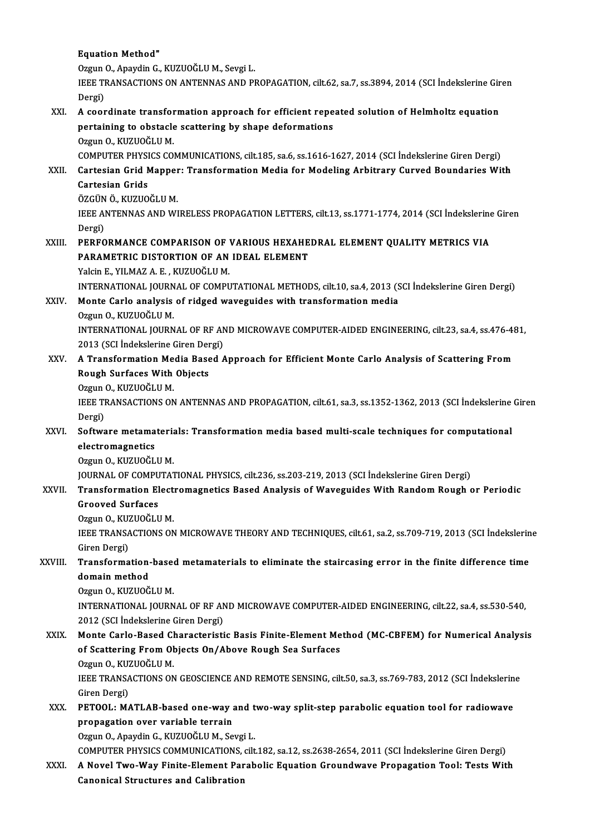#### **Equation Method"**

Equation Method"<br>Ozgun O., Apaydin G., KUZUOĞLU M., Sevgi L.<br>JEEE TRANSACTIONS ON ANTENNAS AND PL

IEEE TRANSACTIONS ON ANTENNAS AND PROPAGATION, cilt.62, sa.7, ss.3894, 2014 (SCI İndekslerine Giren<br>Dergi) Ozgun<br>IEEE TI<br>Dergi)<br>A saar IEEE TRANSACTIONS ON ANTENNAS AND PROPAGATION, cilt.62, sa.7, ss.3894, 2014 (SCI indekslerine Gir<br>Dergi)<br>XXI. A coordinate transformation approach for efficient repeated solution of Helmholtz equation<br>nortaining to obstacl

### Dergi)<br>A coordinate transformation approach for efficient repe<br>pertaining to obstacle scattering by shape deformations<br>Ozgun Q KUZUQČLUM pertaining to obstacle scattering by shape deformations<br>Ozgun O., KUZUOĞLU M.

COMPUTER PHYSICS COMMUNICATIONS, cilt.185, sa.6, ss.1616-1627, 2014 (SCI İndekslerine Giren Dergi) Ozgun O., KUZUOĞLU M.<br>COMPUTER PHYSICS COMMUNICATIONS, cilt.185, sa.6, ss.1616-1627, 2014 (SCI İndekslerine Giren Dergi)<br>XXII. Cartesian Grid Mapper: Transformation Media for Modeling Arbitrary Curved Boundaries With<br>C COMPUTER PHYSI<br>Cartesian Grid M<br>Cartesian Grids<br>ÖZCÜN Ö-KUZUO

# Cartesian Grid Mapper<br>Cartesian Grids<br>ÖZGÜN Ö., KUZUOĞLU M.<br>JEEE ANTENNAS AND WI

ÖZGÜN Ö. KUZUOĞLU M.

Cartesian Grids<br>ÖZGÜN Ö., KUZUOĞLU M.<br>IEEE ANTENNAS AND WIRELESS PROPAGATION LETTERS, cilt.13, ss.1771-1774, 2014 (SCI İndekslerine Giren<br>Dergi) IEEE ANTENNAS AND WIRELESS PROPAGATION LETTERS, cilt.13, ss.1771-1774, 2014 (SCI İndekslerine<br>Dergi)<br>XXIII. PERFORMANCE COMPARISON OF VARIOUS HEXAHEDRAL ELEMENT QUALITY METRICS VIA

### Dergi)<br>PERFORMANCE COMPARISON OF VARIOUS HEXAHE<br>PARAMETRIC DISTORTION OF AN IDEAL ELEMENT<br>Yokin E. VILMAZ A. E., KUZUOČLUM PERFORMANCE COMPARISON OF <mark>Y</mark><br>PARAMETRIC DISTORTION OF AN<br>Yalcin E., YILMAZ A. E. , KUZUOĞLU M.<br>INTERNATIONAL JOURNAL OF COMBI PARAMETRIC DISTORTION OF AN IDEAL ELEMENT<br>Yalcin E., YILMAZ A. E. , KUZUOĞLU M.<br>INTERNATIONAL JOURNAL OF COMPUTATIONAL METHODS, cilt.10, sa.4, 2013 (SCI İndekslerine Giren Dergi)

# Yalcin E., YILMAZ A. E. , KUZUOĞLU M.<br>INTERNATIONAL JOURNAL OF COMPUTATIONAL METHODS, cilt.10, sa.4, 2013 (S.<br>XXIV. Monte Carlo analysis of ridged waveguides with transformation media INTERNATIONAL JOURN<br>Monte Carlo analysis<br>Ozgun O., KUZUOĞLU M.<br>INTERNATIONAL JOURN

Monte Carlo analysis of ridged waveguides with transformation media<br>Ozgun 0., KUZUOĞLU M.<br>INTERNATIONAL JOURNAL OF RF AND MICROWAVE COMPUTER-AIDED ENGINEERING, cilt.23, sa.4, ss.476-481,<br>2012 (SCL Indekalarine Giron Dergi) Ozgun O., KUZUOĞLU M.<br>INTERNATIONAL JOURNAL OF RF AN<br>2013 (SCI İndekslerine Giren Dergi)<br>A Transformation Modia Basod INTERNATIONAL JOURNAL OF RF AND MICROWAVE COMPUTER-AIDED ENGINEERING, cilt.23, sa.4, ss.476-48<br>2013 (SCI İndekslerine Giren Dergi)<br>XXV. A Transformation Media Based Approach for Efficient Monte Carlo Analysis of Scattering

# 2013 (SCI İndekslerine Giren Der<br>A Transformation Media Base<br>Rough Surfaces With Objects<br>Ozgun O, KUZUOČLUM **A Transformation Me<br>Rough Surfaces With<br>Ozgun O., KUZUOĞLU M.<br>IEEE TRANSACTIONS ON**

Ozgun O., KUZUOĞLU M.

IEEE TRANSACTIONS ON ANTENNAS AND PROPAGATION, cilt.61, sa.3, ss.1352-1362, 2013 (SCI İndekslerine Giren<br>Dergi) IEEE TRANSACTIONS ON ANTENNAS AND PROPAGATION, cilt.61, sa.3, ss.1352-1362, 2013 (SCI İndekslerine<br>Dergi)<br>XXVI. Software metamaterials: Transformation media based multi-scale techniques for computational<br>clastromagnetics

# Dergi)<br>Software metama<br>electromagnetics<br>Ozaun O. KUZUOČI electromagnetics<br>Ozgun O., KUZUOĞLU M.<br>JOURNAL OF COMPUTATIONAL PHYSICS, cilt.236, ss.203-219, 2013 (SCI İndekslerine Giren Dergi)<br>Transformation Elestromagnetiss Bosed Analysis of Waysguides With Bondom Bough 6

electromagnetics<br>Ozgun O., KUZUOĞLU M.

### Ozgun O., KUZUOĞLU M.<br>JOURNAL OF COMPUTATIONAL PHYSICS, cilt.236, ss.203-219, 2013 (SCI İndekslerine Giren Dergi)<br>XXVII. Transformation Electromagnetics Based Analysis of Waveguides With Random Rough or Periodic **JOURNAL OF COMPU<br>Transformation El<br>Grooved Surfaces**<br>Ozzur O. KUZUOČLI **Transformation Elect<br>Grooved Surfaces<br>Ozgun O., KUZUOĞLU M.<br>IEEE TRANSACTIONS ON**

Grooved Surfaces<br>Ozgun 0., KUZUOĞLU M.<br>IEEE TRANSACTIONS ON MICROWAVE THEORY AND TECHNIQUES, cilt.61, sa.2, ss.709-719, 2013 (SCI İndekslerine Ozgun O., KUZUOĞLU M.<br>IEEE TRANSACTIONS ON<br>Giren Dergi) IEEE TRANSACTIONS ON MICROWAVE THEORY AND TECHNIQUES, cilt.61, sa.2, ss.709-719, 2013 (SCI İndekslerin<br>Giren Dergi)<br>XXVIII. Transformation-based metamaterials to eliminate the staircasing error in the finite difference tim

### Transformation-based metamaterials to eliminate the staircasing error in the finite difference time<br>domain method

Ozgun O., KUZUOĞLU M.

domain method<br>Ozgun O., KUZUOĞLU M.<br>INTERNATIONAL JOURNAL OF RF AND MICROWAVE COMPUTER-AIDED ENGINEERING, cilt.22, sa.4, ss.530-540,<br>2012 (SCL Indekskaring Giron Dergi) Ozgun O., KUZUOĞLU M.<br>INTERNATIONAL JOURNAL OF RF AN<br>2012 (SCI İndekslerine Giren Dergi)<br>Manta Garla Basad Characteristi INTERNATIONAL JOURNAL OF RF AND MICROWAVE COMPUTER-AIDED ENGINEERING, cilt.22, sa.4, ss.530-540,<br>2012 (SCI İndekslerine Giren Dergi)<br>XXIX. Monte Carlo-Based Characteristic Basis Finite-Element Method (MC-CBFEM) for Numeric

# 2012 (SCI İndekslerine Giren Dergi)<br>Monte Carlo-Based Characteristic Basis Finite-Element Me<br>of Scattering From Objects On/Above Rough Sea Surfaces<br>Ozgun O, KUZUOČLUM Monte Carlo-Based Cl<br>of Scattering From Ol<br>Ozgun O., KUZUOĞLU M.<br>IEEE TRANSACTIONS ON

Ozgun O., KUZUOĞLU M.

of Scattering From Objects On/Above Rough Sea Surfaces<br>Ozgun O., KUZUOĞLU M.<br>IEEE TRANSACTIONS ON GEOSCIENCE AND REMOTE SENSING, cilt.50, sa.3, ss.769-783, 2012 (SCI İndekslerine<br>Giren Dergi) IEEE TRANSACTIONS ON GEOSCIENCE AND REMOTE SENSING, cilt.50, sa.3, ss.769-783, 2012 (SCI İndekslerin<br>Giren Dergi)<br>XXX. PETOOL: MATLAB-based one-way and two-way split-step parabolic equation tool for radiowave<br>nunnagation e

### Giren Dergi)<br>PETOOL: MATLAB-based one-way a<br>propagation over variable terrain<br>Ozgun Q. Apaydin G. KUZUQČLUM, Se PETOOL: MATLAB-based one-way and t<br>propagation over variable terrain<br>Ozgun O., Apaydin G., KUZUOĞLU M., Sevgi L.<br>COMBUTED BUYSICS COMMUNICATIONS, silt propagation over variable terrain<br>Ozgun O., Apaydin G., KUZUOĞLU M., Sevgi L.<br>COMPUTER PHYSICS COMMUNICATIONS, cilt.182, sa.12, ss.2638-2654, 2011 (SCI İndekslerine Giren Dergi)

# Ozgun O., Apaydin G., KUZUOĞLU M., Sevgi L.<br>COMPUTER PHYSICS COMMUNICATIONS, cilt.182, sa.12, ss.2638-2654, 2011 (SCI İndekslerine Giren Dergi)<br>XXXI. A Novel Two-Way Finite-Element Parabolic Equation Groundwave Propaga COMPUTER PHYSICS COMMUNICATIONS,<br>A Novel Two-Way Finite-Element Par<br>Canonical Structures and Calibration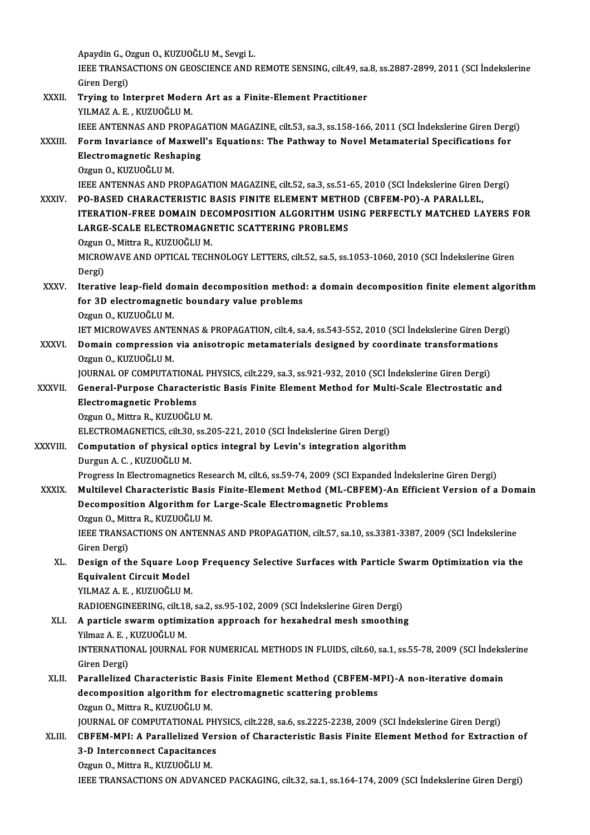Apaydin G., Ozgun O., KUZUOĞLU M., Sevgi L. Apaydin G., Ozgun O., KUZUOĞLU M., Sevgi L.<br>IEEE TRANSACTIONS ON GEOSCIENCE AND REMOTE SENSING, cilt.49, sa.8, ss.2887-2899, 2011 (SCI İndekslerine Apaydin G., O<br>IEEE TRANSA<br>Giren Dergi)<br>Taving to In IEEE TRANSACTIONS ON GEOSCIENCE AND REMOTE SENSING, cilt.49, sa.<br>Giren Dergi)<br>XXXII. Trying to Interpret Modern Art as a Finite-Element Practitioner<br>VII MAZ A E VIIZUQČIJI M Giren Dergi)<br>Trying to Interpret Modern Art as a Finite-Element Practitioner<br>YILMAZ A. E. , KUZUOĞLU M. IEEE ANTENNAS AND PROPAGATION MAGAZINE, cilt.53, sa.3, ss.158-166, 2011 (SCI İndekslerine Giren Dergi) YILMAZ A. E. , KUZUOĞLU M.<br>IEEE ANTENNAS AND PROPAGATION MAGAZINE, cilt.53, sa.3, ss.158-166, 2011 (SCI İndekslerine Giren Derg<br>XXXIII. Form Invariance of Maxwell's Equations: The Pathway to Novel Metamaterial Specific **IEEE ANTENNAS AND PROPAG.<br>Form Invariance of Maxwel<br>Electromagnetic Reshaping<br>Ozzun O. KUZUOČLUM** Form Invariance of M<br>Electromagnetic Resh<br>Ozgun O., KUZUOĞLU M.<br>IEEE ANTENNAS AND PI Electromagnetic Reshaping<br>Ozgun O., KUZUOĞLU M.<br>IEEE ANTENNAS AND PROPAGATION MAGAZINE, cilt.52, sa.3, ss.51-65, 2010 (SCI İndekslerine Giren Dergi)<br>PO PASED CHARACTERISTIC RASIS EINITE ELEMENT METHOD (CREEM PO) A RARALLEI Ozgun O., KUZUOĞLU M.<br>IEEE ANTENNAS AND PROPAGATION MAGAZINE, cilt.52, sa.3, ss.51-65, 2010 (SCI İndekslerine Giren<br>XXXIV. PO-BASED CHARACTERISTIC BASIS FINITE ELEMENT METHOD (CBFEM-PO)-A PARALLEL,<br>ITERATION EREE DOMAIN DE IEEE ANTENNAS AND PROPAGATION MAGAZINE, cilt.52, sa.3, ss.51-65, 2010 (SCI İndekslerine Giren Dergi)<br>PO-BASED CHARACTERISTIC BASIS FINITE ELEMENT METHOD (CBFEM-PO)-A PARALLEL,<br>ITERATION-FREE DOMAIN DECOMPOSITION ALGORITHM PO-BASED CHARACTERISTIC BASIS FINITE ELEMENT METHOD (CBFEM-PO)-A PARALLEL,<br>ITERATION-FREE DOMAIN DECOMPOSITION ALGORITHM USING PERFECTLY MATCHED LAYERS FOR<br>LARGE-SCALE ELECTROMAGNETIC SCATTERING PROBLEMS Ozgun O., Mittra R., KUZUOĞLU M. LARGE-SCALE ELECTROMAGNETIC SCATTERING PROBLEMS<br>Ozgun O., Mittra R., KUZUOĞLU M.<br>MICROWAVE AND OPTICAL TECHNOLOGY LETTERS, cilt.52, sa.5, ss.1053-1060, 2010 (SCI İndekslerine Giren<br>Persi) Ozgun<br>MICRO<br>Dergi)<br>Iterati XXXV. Iterative leap-field domain decompositionmethod: a domain decomposition finite element algorithm Dergi)<br>Iterative leap-field domain decomposition method<br>for 3D electromagnetic boundary value problems<br>Ozzun Q KUZUQČLUM Iterative leap-field do<br>for 3D electromagnet<br>Ozgun O., KUZUOĞLU M.<br>IET MICROWAVES ANTE for 3D electromagnetic boundary value problems<br>Ozgun 0., KUZUOĞLU M.<br>IET MICROWAVES ANTENNAS & PROPAGATION, cilt.4, sa.4, ss.543-552, 2010 (SCI İndekslerine Giren Dergi)<br>Demain compression via anisotronis metemeterials des Ozgun O., KUZUOĞLU M.<br>IET MICROWAVES ANTENNAS & PROPAGATION, cilt.4, sa.4, ss.543-552, 2010 (SCI İndekslerine Giren Dera<br>XXXVI. Domain compression via anisotropic metamaterials designed by coordinate transformations<br>Ozgun **IET MICROWAVES ANTE<br>Domain compression<br>Ozgun O., KUZUOĞLU M.<br>JOUPNAL OE COMBUTAT** Domain compression via anisotropic metamaterials designed by coordinate transformation<br>Ozgun O., KUZUOĞLU M.<br>JOURNAL OF COMPUTATIONAL PHYSICS, cilt.229, sa.3, ss.921-932, 2010 (SCI İndekslerine Giren Dergi)<br>Conoral Burnasa Ozgun O., KUZUOĞLU M.<br>1980: JOURNAL OF COMPUTATIONAL PHYSICS, cilt.229, sa.3, ss.921-932, 2010 (SCI İndekslerine Giren Dergi)<br>2011: General-Purpose Characteristic Basis Finite Element Method for Multi-Scale Electrostatic a **JOURNAL OF COMPUTATIONA<br>General-Purpose Characte<br>Electromagnetic Problems<br>Ozzun O. Mittre P. KUZUOČLI General-Purpose Characterist<br>Electromagnetic Problems<br>Ozgun O., Mittra R., KUZUOĞLU M.<br>ELECTROMACNETICS silt 30. SS 36** Electromagnetic Problems<br>Ozgun O., Mittra R., KUZUOĞLU M.<br>ELECTROMAGNETICS, cilt.30, ss.205-221, 2010 (SCI İndekslerine Giren Dergi) XXXVIII. Computation of physical optics integral by Levin's integration algorithm DurgunA.C. ,KUZUOĞLUM. Progress In Electromagnetics Research M, cilt.6, ss.59-74, 2009 (SCI Expanded İndekslerine Giren Dergi) XXXIX. Multilevel Characteristic Basis Finite-Element Method (ML-CBFEM)-An Efficient Version of a Domain Progress In Electromagnetics Research M, cilt.6, ss.59-74, 2009 (SCI Expanded<br>Multilevel Characteristic Basis Finite-Element Method (ML-CBFEM)-4<br>Decomposition Algorithm for Large-Scale Electromagnetic Problems<br>Ozzun Q, Mit Multilevel Characteristic Basis<br>Decomposition Algorithm for<br>Ozgun O., Mittra R., KUZUOĞLU M.<br>IEEE TRANSACTIONS ON ANTENN IEEE TRANSACTIONS ON ANTENNAS AND PROPAGATION, cilt.57, sa.10, ss.3381-3387, 2009 (SCI İndekslerine<br>Giren Dergi) Ozgun O., Mittra R., KUZUOĞLU M. IEEE TRANSACTIONS ON ANTENNAS AND PROPAGATION, cilt.57, sa.10, ss.3381-3387, 2009 (SCI İndekslerine<br>Giren Dergi)<br>XL. Design of the Square Loop Frequency Selective Surfaces with Particle Swarm Optimization via the<br>Faujualen Giren Dergi)<br>Design of the Square Loc<br>Equivalent Circuit Model<br>YU MAZ A E - KUZUQČLU M Equivalent Circuit Model<br>YILMAZ A.E., KUZUOĞLU M. RADIOENGINEERING, cilt.18, sa.2, ss.95-102, 2009 (SCI İndekslerine Giren Dergi) XLI. A particle swarmoptimization approach for hexahedralmesh smoothing RADIOENGINEERING, cilt.18<br>A particle swarm optimi:<br>Yilmaz A. E. , KUZUOĞLU M.<br>INTERNATIONAL JOURNAL A particle swarm optimization approach for hexahedral mesh smoothing<br>Yilmaz A. E. , KUZUOĞLU M.<br>INTERNATIONAL JOURNAL FOR NUMERICAL METHODS IN FLUIDS, cilt.60, sa.1, ss.55-78, 2009 (SCI İndekslerine<br>Ciron Dergi) Yilmaz A. E. , I<br>INTERNATIO<br>Giren Dergi)<br>Parallalizad INTERNATIONAL JOURNAL FOR NUMERICAL METHODS IN FLUIDS, cilt.60, sa.1, ss.55-78, 2009 (SCI Indeksl<br>Giren Dergi)<br>XLII. Parallelized Characteristic Basis Finite Element Method (CBFEM-MPI)-A non-iterative domain<br>decomposition Giren Dergi)<br>Parallelized Characteristic Basis Finite Element Method (CBFEM-M<br>decomposition algorithm for electromagnetic scattering problems<br>Ozgun Q. Mittre B. KUZUQČLUM Parallelized Characteristic Bas<br>decomposition algorithm for <br>Ozgun O., Mittra R., KUZUOĞLU M.<br>JOUPNAL OE COMPUTATIONAL PI decomposition algorithm for electromagnetic scattering problems<br>Ozgun O., Mittra R., KUZUOĞLU M.<br>JOURNAL OF COMPUTATIONAL PHYSICS, cilt.228, sa.6, ss.2225-2238, 2009 (SCI İndekslerine Giren Dergi)<br>CREEM MPL A Perpllelired Ozgun O., Mittra R., KUZUOĞLU M.<br>JOURNAL OF COMPUTATIONAL PHYSICS, cilt.228, sa.6, ss.2225-2238, 2009 (SCI İndekslerine Giren Dergi)<br>XLIII. CBFEM-MPI: A Parallelized Version of Characteristic Basis Finite Element Metho JOURNAL OF COMPUTATIONAL PH<br>CBFEM-MPI: A Parallelized Ver<br>3-D Interconnect Capacitances<br>Ozzun O. Mittre B. KUZUOČLUM CBFEM-MPI: A Parallelized Ve<br>3-D Interconnect Capacitance:<br>Ozgun O., Mittra R., KUZUOĞLU M.<br>IEEE TRANSACTIONS ON ADVANG 3-D Interconnect Capacitances<br>Ozgun 0., Mittra R., KUZUOĞLU M.<br>IEEE TRANSACTIONS ON ADVANCED PACKAGING, cilt.32, sa.1, ss.164-174, 2009 (SCI İndekslerine Giren Dergi)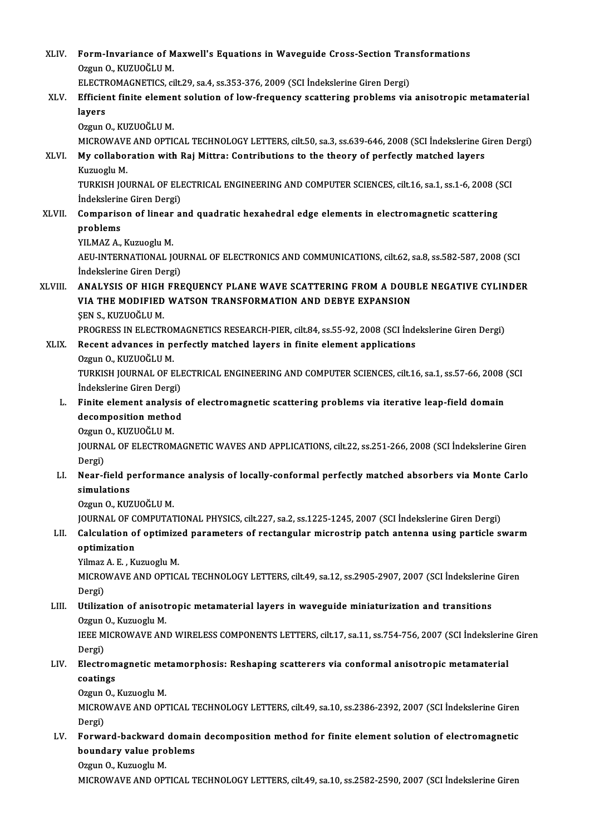| XLIV.   | Form-Invariance of Maxwell's Equations in Waveguide Cross-Section Transformations                                                              |
|---------|------------------------------------------------------------------------------------------------------------------------------------------------|
|         | Ozgun O., KUZUOĞLU M.                                                                                                                          |
|         | ELECTROMAGNETICS, cilt.29, sa.4, ss.353-376, 2009 (SCI Indekslerine Giren Dergi)                                                               |
| XLV.    | Efficient finite element solution of low-frequency scattering problems via anisotropic metamaterial                                            |
|         | layers                                                                                                                                         |
|         | Ozgun O., KUZUOĞLU M.                                                                                                                          |
|         | MICROWAVE AND OPTICAL TECHNOLOGY LETTERS, cilt.50, sa.3, ss.639-646, 2008 (SCI Indekslerine Giren Dergi)                                       |
| XLVI.   | My collaboration with Raj Mittra: Contributions to the theory of perfectly matched layers<br>Kuzuoglu M                                        |
|         | TURKISH JOURNAL OF ELECTRICAL ENGINEERING AND COMPUTER SCIENCES, cilt.16, sa.1, ss.1-6, 2008 (SCI                                              |
|         | İndekslerine Giren Dergi)                                                                                                                      |
| XLVII.  | Comparison of linear and quadratic hexahedral edge elements in electromagnetic scattering                                                      |
|         | problems                                                                                                                                       |
|         | YILMAZ A., Kuzuoglu M.                                                                                                                         |
|         | AEU-INTERNATIONAL JOURNAL OF ELECTRONICS AND COMMUNICATIONS, cilt.62, sa.8, ss.582-587, 2008 (SCI                                              |
| XLVIII. | İndekslerine Giren Dergi)                                                                                                                      |
|         | ANALYSIS OF HIGH FREQUENCY PLANE WAVE SCATTERING FROM A DOUBLE NEGATIVE CYLINDER<br>VIA THE MODIFIED WATSON TRANSFORMATION AND DEBYE EXPANSION |
|         | ŞEN S., KUZUOĞLU M.                                                                                                                            |
|         | PROGRESS IN ELECTROMAGNETICS RESEARCH-PIER, cilt.84, ss.55-92, 2008 (SCI İndekslerine Giren Dergi)                                             |
| XLIX.   | Recent advances in perfectly matched layers in finite element applications                                                                     |
|         | Ozgun O., KUZUOĞLU M.                                                                                                                          |
|         | TURKISH JOURNAL OF ELECTRICAL ENGINEERING AND COMPUTER SCIENCES, cilt.16, sa.1, ss.57-66, 2008 (SCI                                            |
| L.      | İndekslerine Giren Dergi)<br>Finite element analysis of electromagnetic scattering problems via iterative leap-field domain                    |
|         | decomposition method                                                                                                                           |
|         | Ozgun O., KUZUOĞLU M.                                                                                                                          |
|         | JOURNAL OF ELECTROMAGNETIC WAVES AND APPLICATIONS, cilt.22, ss.251-266, 2008 (SCI Indekslerine Giren                                           |
|         | Dergi)                                                                                                                                         |
| LI.     | Near-field performance analysis of locally-conformal perfectly matched absorbers via Monte Carlo                                               |
|         | simulations                                                                                                                                    |
|         | Ozgun O, KUZUOĞLU M                                                                                                                            |
|         | JOURNAL OF COMPUTATIONAL PHYSICS, cilt.227, sa.2, ss.1225-1245, 2007 (SCI Indekslerine Giren Dergi)                                            |
| LII.    | Calculation of optimized parameters of rectangular microstrip patch antenna using particle swarm                                               |
|         | optimization                                                                                                                                   |
|         | Yilmaz A. E., Kuzuoglu M.                                                                                                                      |
|         | MICROWAVE AND OPTICAL TECHNOLOGY LETTERS, cilt.49, sa.12, ss.2905-2907, 2007 (SCI İndekslerine Giren                                           |
| LIII.   | Dergi)<br>Utilization of anisotropic metamaterial layers in waveguide miniaturization and transitions                                          |
|         | Ozgun O., Kuzuoglu M.                                                                                                                          |
|         | IEEE MICROWAVE AND WIRELESS COMPONENTS LETTERS, cilt.17, sa.11, ss.754-756, 2007 (SCI İndekslerine Giren                                       |
|         | Dergi)                                                                                                                                         |
| LIV.    | Electromagnetic metamorphosis: Reshaping scatterers via conformal anisotropic metamaterial                                                     |
|         | coatings                                                                                                                                       |
|         | Ozgun O., Kuzuoglu M.                                                                                                                          |
|         | MICROWAVE AND OPTICAL TECHNOLOGY LETTERS, cilt.49, sa.10, ss.2386-2392, 2007 (SCI İndekslerine Giren                                           |
|         | Dergi)                                                                                                                                         |
| LV.     | Forward-backward domain decomposition method for finite element solution of electromagnetic                                                    |
|         | boundary value problems                                                                                                                        |
|         | Ozgun O., Kuzuoglu M.                                                                                                                          |
|         | MICROWAVE AND OPTICAL TECHNOLOGY LETTERS, cilt.49, sa.10, ss.2582-2590, 2007 (SCI Indekslerine Giren                                           |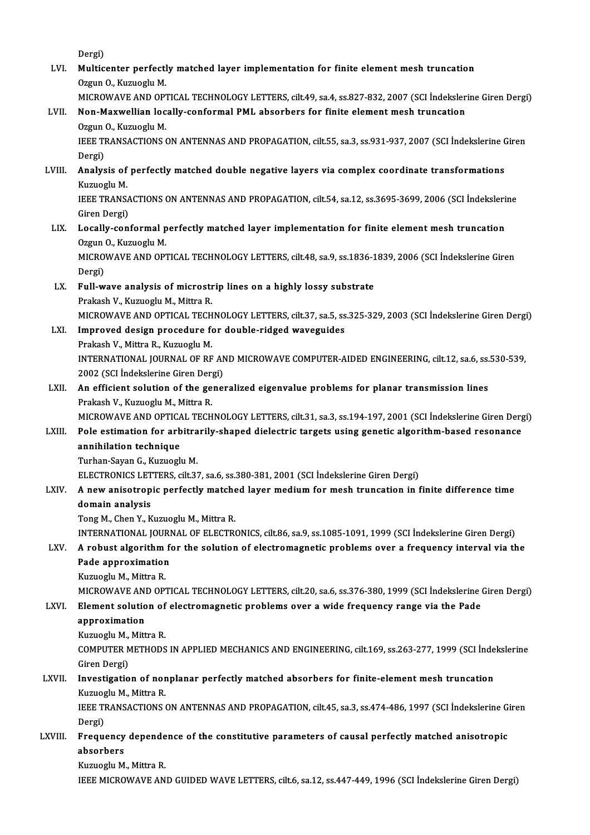Dergi)

Dergi)<br>LVI. Multicenter perfectly matched layer implementation for finite element mesh truncation<br>Ozgun O. Kugueghi M Dergi)<br><mark>Multicenter perfectl</mark><br>Ozgun O., Kuzuoglu M.<br>MICROWAVE AND OP. Multicenter perfectly matched layer implementation for finite element mesh truncation<br>Ozgun O., Kuzuoglu M.<br>MICROWAVE AND OPTICAL TECHNOLOGY LETTERS, cilt.49, sa.4, ss.827-832, 2007 (SCI İndekslerine Giren Dergi)<br>Nen Meyyy Ozgun O., Kuzuoglu M.<br>MICROWAVE AND OPTICAL TECHNOLOGY LETTERS, cilt.49, sa.4, ss.827-832, 2007 (SCI İndeksler<br>LVII. Non-Maxwellian locally-conformal PML absorbers for finite element mesh truncation<br>Ozgun O., Kuzuoglu M. MICROWAVE AND OPTICAL TECHNOLOGY LETTERS, cilt.49, sa.4, ss.827-832, 2007 (SCI Indekslerine Giren Dergi) Non-Maxwellian locally-conformal PML absorbers for finite element mesh truncation<br>Ozgun O., Kuzuoglu M.<br>IEEE TRANSACTIONS ON ANTENNAS AND PROPAGATION, cilt.55, sa.3, ss.931-937, 2007 (SCI İndekslerine Giren<br>Dergi) Ozgun<br>IEEE TI<br>Dergi)<br>Analys IEEE TRANSACTIONS ON ANTENNAS AND PROPAGATION, cilt.55, sa.3, ss.931-937, 2007 (SCI İndekslerine C<br>Dergi)<br>LVIII. Analysis of perfectly matched double negative layers via complex coordinate transformations<br>Everyorly M Dergi)<br><mark>Analysis of</mark><br>Kuzuoglu M.<br>IEEE TRANS. Analysis of perfectly matched double negative layers via complex coordinate transformations<br>Kuzuoglu M.<br>IEEE TRANSACTIONS ON ANTENNAS AND PROPAGATION, cilt.54, sa.12, ss.3695-3699, 2006 (SCI İndekslerine<br>Ciron Dergi) Kuzuoglu M.<br>IEEE TRANSACTIONS ON ANTENNAS AND PROPAGATION, cilt.54, sa.12, ss.3695-3699, 2006 (SCI İndekslerine<br>Giren Dergi) LIX. Locally-conformal perfectly matched layer implementation for finite element mesh truncation Giren Dergi)<br><mark>Locally-conformal p</mark><br>Ozgun O., Kuzuoglu M.<br>MICROWAVE AND OP. MICROWAVE AND OPTICAL TECHNOLOGY LETTERS, cilt.48, sa.9, ss.1836-1839, 2006 (SCI İndekslerine Giren<br>Dergi) Ozgun<br>MICRO<br>Dergi)<br>Eull w MICROWAVE AND OPTICAL TECHNOLOGY LETTERS, cilt.48, sa.9, ss.1836-1<br>Dergi)<br>LX. Full-wave analysis of microstrip lines on a highly lossy substrate<br>Prology V. Kuruogly M. Mittee P. Dergi)<br>Full-wave analysis of microstr<br>Prakash V., Kuzuoglu M., Mittra R.<br>MICROWAVE AND OPTICAL TECH Prakash V., Kuzuoglu M., Mittra R.<br>MICROWAVE AND OPTICAL TECHNOLOGY LETTERS, cilt.37, sa.5, ss.325-329, 2003 (SCI İndekslerine Giren Dergi) LXI. Improved design procedure for double-ridged waveguides MICROWAVE AND OPTICAL TECH<br>Improved design procedure fo<br>Prakash V., Mittra R., Kuzuoglu M.<br>INTERNATIONAL JOURNAL OF RE INTERNATIONAL JOURNAL OF RF AND MICROWAVE COMPUTER-AIDED ENGINEERING, cilt.12, sa.6, ss.530-539, 2002 (SCI İndekslerine Giren Dergi) Prakash V., Mittra R., Kuzuoglu M.<br>INTERNATIONAL JOURNAL OF RF AN<br>2002 (SCI İndekslerine Giren Dergi)<br>An efficient selution of the sene: INTERNATIONAL JOURNAL OF RF AND MICROWAVE COMPUTER-AIDED ENGINEERING, cilt.12, sa.6, ss.<br>2002 (SCI Indekslerine Giren Dergi)<br>LXII. An efficient solution of the generalized eigenvalue problems for planar transmission lines<br> 2002 (SCI İndekslerine Giren Dera<br>An efficient solution of the ge<br>Prakash V., Kuzuoglu M., Mittra R.<br>MICROWAVE AND OPTICAL TECH Prakash V., Kuzuoglu M., Mittra R.<br>MICROWAVE AND OPTICAL TECHNOLOGY LETTERS, cilt.31, sa.3, ss.194-197, 2001 (SCI İndekslerine Giren Dergi) Prakash V., Kuzuoglu M., Mittra R.<br>MICROWAVE AND OPTICAL TECHNOLOGY LETTERS, cilt.31, sa.3, ss.194-197, 2001 (SCI İndekslerine Giren Derg<br>LXIII. Pole estimation for arbitrarily-shaped dielectric targets using genetic algor MICROWAVE AND OPTICA<br>Pole estimation for arb<br>annihilation technique<br>Turban Savan G. Kuruegh Pole estimation for arbitra<br>annihilation technique<br>Turhan-Sayan G., Kuzuoglu M.<br>ELECTRONICS LETTEDS cilt 2. annihilation technique<br>Turhan-Sayan G., Kuzuoglu M.<br>ELECTRONICS LETTERS, cilt.37, sa.6, ss.380-381, 2001 (SCI İndekslerine Giren Dergi)<br>A new anisatrania perfestly matshed layer medium for mesh trunsation in f Turhan-Sayan G., Kuzuoglu M.<br>ELECTRONICS LETTERS, cilt.37, sa.6, ss.380-381, 2001 (SCI İndekslerine Giren Dergi)<br>LXIV. A new anisotropic perfectly matched layer medium for mesh truncation in finite difference time ELECTRONICS LET<br>A new anisotrop<br>domain analysis<br>Tang M. Chan Y. K A new anisotropic perfectly matche<br>domain analysis<br>Tong M., Chen Y., Kuzuoglu M., Mittra R.<br>INTERNATIONAL JOURNAL OF ELECTR domain analysis<br>Tong M., Chen Y., Kuzuoglu M., Mittra R.<br>INTERNATIONAL JOURNAL OF ELECTRONICS, cilt.86, sa.9, ss.1085-1091, 1999 (SCI İndekslerine Giren Dergi) Tong M., Chen Y., Kuzuoglu M., Mittra R.<br>INTERNATIONAL JOURNAL OF ELECTRONICS, cilt.86, sa.9, ss.1085-1091, 1999 (SCI İndekslerine Giren Dergi)<br>LXV. A robust algorithm for the solution of electromagnetic problems over INTERNATIONAL JOURI<br>A robust algorithm f<br>Pade approximation<br><sup>Kumaclu M. Mittre P</sup> A robust algorithm<br>Pade approximatior<br>Kuzuoglu M., Mittra R.<br>MICPOWAVE AND OP Pade approximation<br>Kuzuoglu M., Mittra R.<br>MICROWAVE AND OPTICAL TECHNOLOGY LETTERS, cilt.20, sa.6, ss.376-380, 1999 (SCI İndekslerine Giren Dergi)<br>Flament selution of electromagnetis problems ever a viide frequengy range v Kuzuoglu M., Mittra R.<br>MICROWAVE AND OPTICAL TECHNOLOGY LETTERS, cilt.20, sa.6, ss.376-380, 1999 (SCI İndekslerine الكلالة<br>LXVI. Element solution of electromagnetic problems over a wide frequency range via the Pade<br>ARE CON MICROWAVE ANI<br><mark>Element solutio</mark><br>approximation<br><sup>Kuruosiu M. Mitt</sup> Element solution of electromagnetic problems over a wide frequency range via the Pade<br>approximation approximation<br>Kuzuoglu M., Mittra R.<br>COMPUTER METHODS IN APPLIED MECHANICS AND ENGINEERING, cilt.169, ss.263-277, 1999 (SCI İndekslerine Kuzuoglu M., Mittra R.<br>COMPUTER METHODS<br>Giren Dergi) COMPUTER METHODS IN APPLIED MECHANICS AND ENGINEERING, cilt.169, ss.263-277, 1999 (SCI inde<br>Giren Dergi)<br>LXVII. Investigation of nonplanar perfectly matched absorbers for finite-element mesh truncation<br>Kurucation Muttre P Investigation of nonplanar perfectly matched absorbers for finite-element mesh truncation Kuzuoglu M., Mittra R. Investigation of nonplanar perfectly matched absorbers for finite-element mesh truncation<br>Kuzuoglu M., Mittra R.<br>IEEE TRANSACTIONS ON ANTENNAS AND PROPAGATION, cilt.45, sa.3, ss.474-486, 1997 (SCI İndekslerine Giren<br>Persi) Kuzuog<br>IEEE TI<br>Dergi)<br>Eregu IEEE TRANSACTIONS ON ANTENNAS AND PROPAGATION, cilt.45, sa.3, ss.474-486, 1997 (SCI İndekslerine G.<br>Dergi)<br>LXVIII. Frequency dependence of the constitutive parameters of causal perfectly matched anisotropic Dergi)<br>Frequency<br>absorbers<br>Kuruegh M Frequency depende<br>absorbers<br>Kuzuoglu M., Mittra R.<br>IEEE MICDOWAVE AN **absorbers**<br>Kuzuoglu M., Mittra R.<br>IEEE MICROWAVE AND GUIDED WAVE LETTERS, cilt.6, sa.12, ss.447-449, 1996 (SCI İndekslerine Giren Dergi)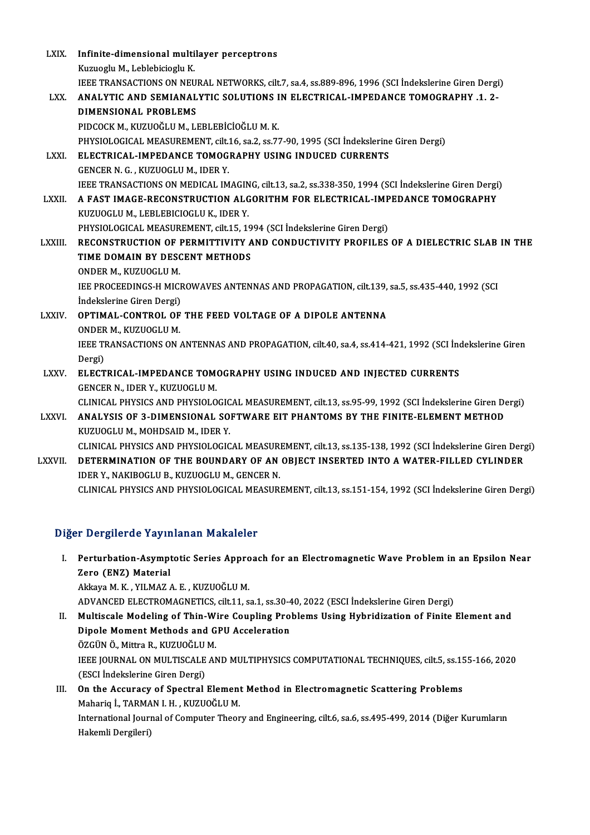| <b>LXIX</b>    | Infinite-dimensional multilayer perceptrons                                                              |
|----------------|----------------------------------------------------------------------------------------------------------|
|                | Kuzuoglu M., Leblebicioglu K.                                                                            |
|                | IEEE TRANSACTIONS ON NEURAL NETWORKS, cilt.7, sa.4, ss.889-896, 1996 (SCI İndekslerine Giren Dergi)      |
| LXX.           | ANALYTIC AND SEMIANALYTIC SOLUTIONS IN ELECTRICAL-IMPEDANCE TOMOGRAPHY .1. 2-                            |
|                | <b>DIMENSIONAL PROBLEMS</b>                                                                              |
|                | PIDCOCK M., KUZUOĞLU M., LEBLEBİCİOĞLU M. K.                                                             |
|                | PHYSIOLOGICAL MEASUREMENT, cilt.16, sa.2, ss.77-90, 1995 (SCI Indekslerine Giren Dergi)                  |
| LXXI.          | ELECTRICAL-IMPEDANCE TOMOGRAPHY USING INDUCED CURRENTS                                                   |
|                | GENCER N. G., KUZUOGLU M., IDER Y.                                                                       |
|                | IEEE TRANSACTIONS ON MEDICAL IMAGING, cilt.13, sa.2, ss.338-350, 1994 (SCI İndekslerine Giren Dergi)     |
| <b>LXXII</b>   | A FAST IMAGE-RECONSTRUCTION ALGORITHM FOR ELECTRICAL-IMPEDANCE TOMOGRAPHY                                |
|                | KUZUOGLU M., LEBLEBICIOGLU K., IDER Y.                                                                   |
|                | PHYSIOLOGICAL MEASUREMENT, cilt.15, 1994 (SCI İndekslerine Giren Dergi)                                  |
| <b>LXXIII</b>  | RECONSTRUCTION OF PERMITTIVITY AND CONDUCTIVITY PROFILES OF A DIELECTRIC SLAB IN THE                     |
|                | TIME DOMAIN BY DESCENT METHODS                                                                           |
|                | ONDER M., KUZUOGLU M.                                                                                    |
|                | IEE PROCEEDINGS-H MICROWAVES ANTENNAS AND PROPAGATION, cilt.139, sa.5, ss.435-440, 1992 (SCI             |
|                | İndekslerine Giren Dergi)                                                                                |
| <b>LXXIV</b>   | OPTIMAL-CONTROL OF THE FEED VOLTAGE OF A DIPOLE ANTENNA                                                  |
|                | ONDER M., KUZUOGLU M.                                                                                    |
|                | IEEE TRANSACTIONS ON ANTENNAS AND PROPAGATION, cilt.40, sa.4, ss.414-421, 1992 (SCI Indekslerine Giren   |
|                | Dergi)                                                                                                   |
| LXXV.          | ELECTRICAL-IMPEDANCE TOMOGRAPHY USING INDUCED AND INJECTED CURRENTS                                      |
|                | GENCER N., IDER Y., KUZUOGLU M.                                                                          |
|                | CLINICAL PHYSICS AND PHYSIOLOGICAL MEASUREMENT, cilt.13, ss.95-99, 1992 (SCI İndekslerine Giren Dergi)   |
| <b>LXXVI</b>   | ANALYSIS OF 3-DIMENSIONAL SOFTWARE EIT PHANTOMS BY THE FINITE-ELEMENT METHOD                             |
|                | KUZUOGLU M., MOHDSAID M., IDER Y.                                                                        |
|                | CLINICAL PHYSICS AND PHYSIOLOGICAL MEASUREMENT, cilt.13, ss.135-138, 1992 (SCI İndekslerine Giren Dergi) |
| <b>LXXVII.</b> | DETERMINATION OF THE BOUNDARY OF AN OBJECT INSERTED INTO A WATER-FILLED CYLINDER                         |
|                | IDER Y., NAKIBOGLU B., KUZUOGLU M., GENCER N.                                                            |
|                | CLINICAL PHYSICS AND PHYSIOLOGICAL MEASUREMENT, cilt.13, ss.151-154, 1992 (SCI İndekslerine Giren Dergi) |

#### Diğer Dergilerde Yayınlanan Makaleler

I. Perturbation-Asymptotic Series Approach for an ElectromagneticWave Problemin an Epsilon Near 2 December 2014<br>Perturbation-Asympt<br>Zero (ENZ) Material<br>Akkaya M. K. VII MAZ Perturbation-Asymptotic Series Appro<br>Zero (ENZ) Material<br>Akkaya M. K. , YILMAZ A. E. , KUZUOĞLU M.<br>ADVANCED ELECTPOMACNETICS silt 11 S Zero (ENZ) Material<br>Akkaya M. K. , YILMAZ A. E. , KUZUOĞLU M.<br>ADVANCED ELECTROMAGNETICS, cilt.11, sa.1, ss.30-40, 2022 (ESCI İndekslerine Giren Dergi)

- Akkaya M. K. , YILMAZ A. E. , KUZUOĞLU M.<br>ADVANCED ELECTROMAGNETICS, cilt.11, sa.1, ss.30-40, 2022 (ESCI İndekslerine Giren Dergi)<br>II. Multiscale Modeling of Thin-Wire Coupling Problems Using Hybridization of Finite Elemen ADVANCED ELECTROMAGNETICS, cilt.11, sa.1, ss.30-4<br>Multiscale Modeling of Thin-Wire Coupling Pro<br>Dipole Moment Methods and GPU Acceleration<br>ÖZCÜN Ö. Mittre B. KUZUQČLUM Multiscale Modeling of Thin-W<br>Dipole Moment Methods and G<br>ÖZGÜN Ö., Mittra R., KUZUOĞLU M.<br>JEEE JOUPNAL ON MULTISCALE AN Dipole Moment Methods and GPU Acceleration<br>ÖZGÜN Ö., Mittra R., KUZUOĞLU M.<br>IEEE JOURNAL ON MULTISCALE AND MULTIPHYSICS COMPUTATIONAL TECHNIQUES, cilt.5, ss.155-166, 2020<br>(ESCL İndekskarine Ciren Dergi) ÖZGÜN Ö., Mittra R., KUZUOĞLU<br>IEEE JOURNAL ON MULTISCALE<br>(ESCI İndekslerine Giren Dergi)<br>On the Assuresu of Spestral IEEE JOURNAL ON MULTISCALE AND MULTIPHYSICS COMPUTATIONAL TECHNIQUES, cilt.5, ss.15<br>(ESCI Indekslerine Giren Dergi)<br>III. On the Accuracy of Spectral Element Method in Electromagnetic Scattering Problems<br>Maharia J. TARMAN L
- (ESCI İndekslerine Giren Dergi)<br>**On the Accuracy of Spectral Element**<br>Mahariq İ., TARMAN I. H. , KUZUOĞLU M.<br>International Journal of Computer Theor International Journal of Computer Theory and Engineering, cilt.6, sa.6, ss.495-499, 2014 (Diğer Kurumların Hakemli Dergileri) Mahariq İ, TARMAN I.H., KUZUOĞLU M.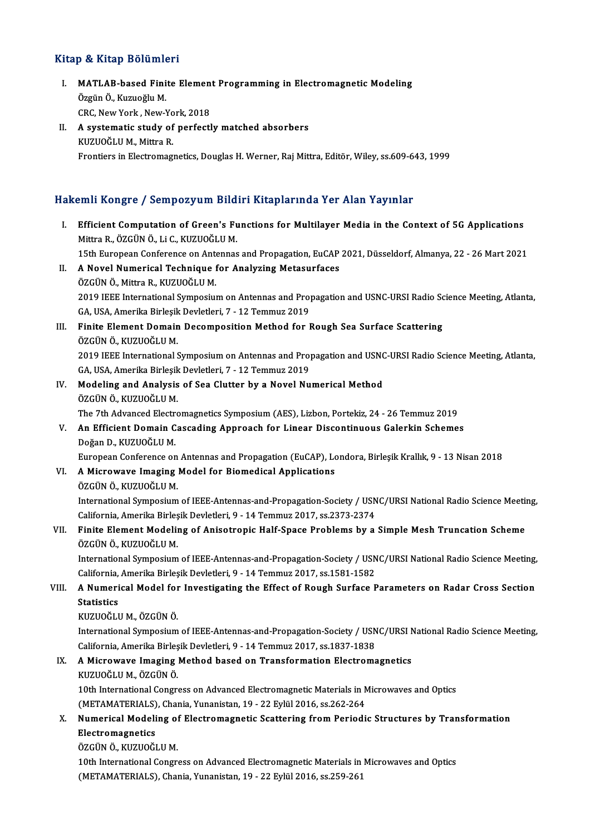#### Kitap & Kitap Bölümleri

- I. MATLAB-based Finite Element Programming in Electromagnetic Modeling ÖzgünÖ.,KuzuoğluM. MATLAB-based Finite Elemen<br>Özgün Ö., Kuzuoğlu M.<br>CRC, New York , New-York, 2018<br>A systematis study of perfectl
- II. A systematic study of perfectly matched absorbers<br>KUZUOĞLU M., Mittra R. CRC, New York , New-Yo<br>A systematic study of<br>KUZUOĞLU M., Mittra R.<br>Enontions in Electromac Frontiers in Electromagnetics, Douglas H. Werner, Raj Mittra, Editör, Wiley, ss.609-643, 1999

#### Hakemli Kongre / Sempozyum Bildiri Kitaplarında Yer Alan Yayınlar

akemli Kongre / Sempozyum Bildiri Kitaplarında Yer Alan Yayınlar<br>I. Efficient Computation of Green's Functions for Multilayer Media in the Context of 5G Applications<br>Mitra P. ÖZCÜNÖ Li C. KUZUOČLU M Mit rayingi o 7 Sompozyum Dru<br>Efficient Computation of Green's Fu<br>Mittra R., ÖZGÜN Ö., Li C., KUZUOĞLU M.<br>15th European Conference on Antonnes Efficient Computation of Green's Functions for Multilayer Media in the Context of 5G Applications<br>Mittra R., ÖZGÜN Ö., Li C., KUZUOĞLU M.<br>15th European Conference on Antennas and Propagation, EuCAP 2021, Düsseldorf, Almany Mittra R., ÖZGÜN Ö., Li C., KUZUOĞLU M.<br>15th European Conference on Antennas and Propagation, EuCAP<br>II. **A Novel Numerical Technique for Analyzing Metasurfaces**<br>ÖZGÜN Ö., Mittra R., KUZUOĞLU M. 15th European Conference on Ante<br>A Novel Numerical Technique 1<br>ÖZGÜN Ö., Mittra R., KUZUOĞLU M.<br>2019 IEEE International Sumposius A Novel Numerical Technique for Analyzing Metasurfaces<br>ÖZGÜN Ö., Mittra R., KUZUOĞLU M.<br>2019 IEEE International Symposium on Antennas and Propagation and USNC-URSI Radio Science Meeting, Atlanta,<br>CA. USA Amerika Birlesik D ÖZGÜN Ö., Mittra R., KUZUOĞLU M.<br>2019 IEEE International Symposium on Antennas and Proj<br>GA, USA, Amerika Birleşik Devletleri, 7 - 12 Temmuz 2019<br>Finite Flement Demain Decemposition Method for I III. Finite Element Domain Decomposition Method for Rough Sea Surface Scattering ÖZGÜN Ö., KUZUOĞLU M. GA, USA, Amerika Birleşik Devletleri, 7 - 12 Temmuz 2019 Finite Element Domain Decomposition Method for Rough Sea Surface Scattering<br>ÖZGÜN Ö., KUZUOĞLU M.<br>2019 IEEE International Symposium on Antennas and Propagation and USNC-URSI Radio Science Meeting, Atlanta,<br>CA, USA, Amerika ÖZGÜN Ö., KUZUOĞLU M.<br>2019 IEEE International Symposium on Antennas and Proj<br>GA, USA, Amerika Birleşik Devletleri, 7 - 12 Temmuz 2019<br>Modeling and Analysis of See Clutter by a Naval Nu 2019 IEEE International Symposium on Antennas and Propagation and USNO<br>GA, USA, Amerika Birleşik Devletleri, 7 - 12 Temmuz 2019<br>IV. Modeling and Analysis of Sea Clutter by a Novel Numerical Method<br>ÖZCÜN Ö, KUZUOĞUJM GA, USA, Amerika Birleşik<br>Modeling and Analysis<br>ÖZGÜN Ö., KUZUOĞLU M.<br>The <sup>7th</sup> Advanced Electre Modeling and Analysis of Sea Clutter by a Novel Numerical Method<br>ÖZGÜN Ö., KUZUOĞLU M.<br>The 7th Advanced Electromagnetics Symposium (AES), Lizbon, Portekiz, 24 - 26 Temmuz 2019<br>An Efficient Demain Cosseding Annuash for Line ÖZGÜN Ö., KUZUOĞLU M.<br>The 7th Advanced Electromagnetics Symposium (AES), Lizbon, Portekiz, 24 - 26 Temmuz 2019<br>V. An Efficient Domain Cascading Approach for Linear Discontinuous Galerkin Schemes<br>Doğan D., KUZUOĞLU M. The 7th Advanced Electr<br>An Efficient Domain C<br>Doğan D., KUZUOĞLU M.<br>European Conference en European Conference on Antennas and Propagation (EuCAP), Londora, Birleşik Krallık, 9 - 13 Nisan 2018 Doğan D., KUZUOĞLU M.<br>European Conference on Antennas and Propagation (EuCAP), Lo<br>VI. – A Microwave Imaging Model for Biomedical Applications<br>ÖZCÜN Ö, KUZUOĞLU M European Conference on<br>A Microwave Imaging<br>ÖZGÜN Ö., KUZUOĞLU M.<br>International Sumnosium ÖZGÜN Ö., KUZUOĞLU M.<br>International Symposium of IEEE-Antennas-and-Propagation-Society / USNC/URSI National Radio Science Meeting, ÖZGÜN Ö., KUZUOĞLU M.<br>International Symposium of IEEE-Antennas-and-Propagation-Society / USN<br>California, Amerika Birleşik Devletleri, 9 - 14 Temmuz 2017, ss.2373-2374<br>Finite Flement Modeling of Anisotronis Helf Spece Probl International Symposium of IEEE-Antennas-and-Propagation-Society / USNC/URSI National Radio Science Meetin<br>California, Amerika Birleşik Devletleri, 9 - 14 Temmuz 2017, ss.2373-2374<br>VII. Finite Element Modeling of Anisotrop California, Amerika Birleş<br>Finite Element Modelii<br>ÖZGÜN Ö., KUZUOĞLU M.<br>International Sumnosium Finite Element Modeling of Anisotropic Half-Space Problems by a Simple Mesh Truncation Scheme<br>ÖZGÜN Ö., KUZUOĞLU M.<br>International Symposium of IEEE-Antennas-and-Propagation-Society / USNC/URSI National Radio Science Meetin ÖZGÜN Ö., KUZUOĞLU M.<br>International Symposium of IEEE-Antennas-and-Propagation-Society / USNC/URSI National Radio Science Meeting, International Symposium of IEEE-Antennas-and-Propagation-Society / USNC/URSI National Radio Science Meeting,<br>California, Amerika Birleşik Devletleri, 9 - 14 Temmuz 2017, ss.1581-1582<br>VIII. A Numerical Model for Investigati California, Amerika Birleşik Devletleri, 9 - 14 Temmuz 2017, ss.1581-1582<br>A Numerical Model for Investigating the Effect of Rough Surface I<br>Statistics<br>KUZUOĞLU M., ÖZGÜN Ö. A Numerical Model for<br>Statistics<br>KUZUOĞLU M., ÖZGÜN Ö.<br>International Sumnesium International Symposium of IEEE-Antennas-and-Propagation-Society / USNC/URSI National Radio Science Meeting, California, Amerika Birleşik Devletleri, 9 - 14 Temmuz 2017, ss.1837-1838 IX. A Microwave Imaging Method based on Transformation Electromagnetics KUZUOĞLUM.,ÖZGÜNÖ. 10th InternationalCongress on Advanced on Transformation Electromagnetics<br>20th International Congress on Advanced Electromagnetic Materials in Microwaves and Optics<br>20th International Congress on Advanced Electromagnetic M KUZUOĞLU M., ÖZGÜN Ö.<br>10th International Congress on Advanced Electromagnetic Materials in M<br>(METAMATERIALS), Chania, Yunanistan, 19 - 22 Eylül 2016, ss.262-264<br>Numerisel Modeling of Electromagnetic Scattering from Periodi 10th International Congress on Advanced Electromagnetic Materials in Microwaves and Optics<br>(METAMATERIALS), Chania, Yunanistan, 19 - 22 Eylül 2016, ss.262-264<br>X. Numerical Modeling of Electromagnetic Scattering from Period (METAMATERIALS), Chania, Yunanistan, 19 - 22 Eylül 2016, ss.262-264<br>Numerical Modeling of Electromagnetic Scattering from Periodi<br>Electromagnetics<br>ÖZGÜN Ö., KUZUOĞLU M. Numerical Modeling of<br>Electromagnetics<br>ÖZGÜN Ö., KUZUOĞLU M.<br>10th International Congr 10th International Congress on Advanced Electromagnetic Materials in Microwaves and Optics (METAMATERIALS), Chania, Yunanistan, 19 - 22 Eylül 2016, ss.259-261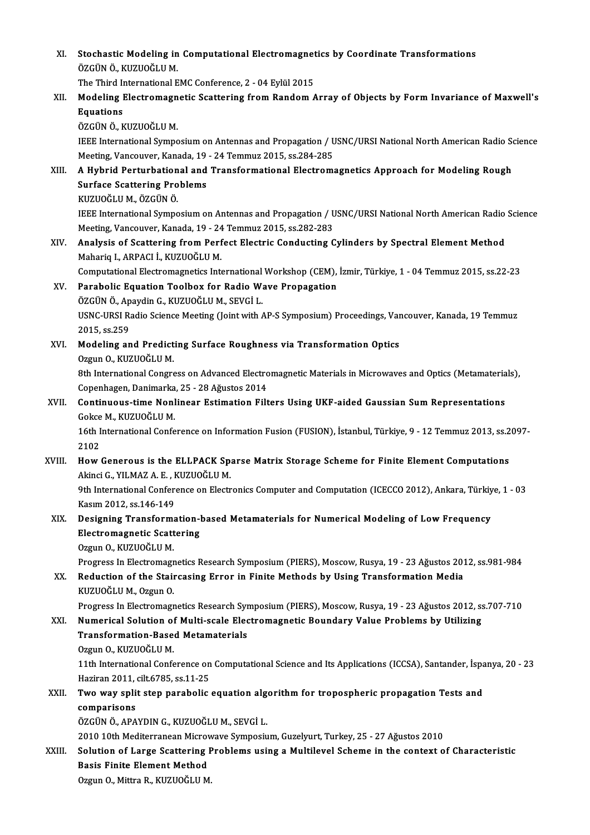XI. Stochastic Modeling in Computational Electromagnetics by Coordinate Transformations<br>ÖZCÜNÖ KUZUQĞLUM ÖZGÜN Ö., KUZUOĞLU M. Stochastic Modeling in Computational Electromagnet<br>ÖZGÜN Ö., KUZUOĞLU M.<br>The Third International EMC Conference, 2 - 04 Eylül 2015<br>Modeling Electromagnetic Secttoring from Pandom A

The Third International EMC Conference, 2 - 04 Eylül 2015

## XII. Modeling Electromagnetic Scattering from Random Array of Objects by Form Invariance of Maxwell's<br>Equations

ÖZGÜN Ö., KUZUOĞLU M.

Equations<br>ÖZGÜN Ö., KUZUOĞLU M.<br>IEEE International Symposium on Antennas and Propagation / USNC/URSI National North American Radio Science<br>Mesting Vancewyer Kanada 19, 24 Temmuz 2015, ss 294, 295 ÖZGÜN Ö., KUZUOĞLU M.<br>IEEE International Symposium on Antennas and Propagation / U<br>Meeting, Vancouver, Kanada, 19 - 24 Temmuz 2015, ss.284-285<br>A. Hybrid Perturbational and Transformational Electrom: IEEE International Symposium on Antennas and Propagation / USNC/URSI National North American Radio Soldies (1947)<br>Meeting, Vancouver, Kanada, 19 - 24 Temmuz 2015, ss.284-285<br>XIII. A Hybrid Perturbational and Transformation

### Meeting, Vancouver, Kanada, 19<br>A Hybrid Perturbational and<br>Surface Scattering Problems<br>PUZUOČUJM ÖZCÜNÖ A Hybrid Perturbation<br>Surface Scattering Pro<br>KUZUOĞLU M., ÖZGÜN Ö.<br><sup>IEEE International Sumne</sup> Surface Scattering Problems<br>IEU KUZUOĞLU M., ÖZGÜN Ö.<br>IEEE International Symposium on Antennas and Propagation / USNC/URSI National North American Radio Science

Meeting, Vancouver, Kanada, 19 - 24 Temmuz 2015, ss.282-283 IEEE International Symposium on Antennas and Propagation / USNC/URSI National North American Radio<br>Meeting, Vancouver, Kanada, 19 - 24 Temmuz 2015, ss.282-283<br>XIV. Analysis of Scattering from Perfect Electric Conducting Cy

# Meeting, Vancouver, Kanada, 19 - 24<br>Analysis of Scattering from Perf<br>Mahariq I., ARPACI İ., KUZUOĞLU M.<br>Camputational Flastromagnatics Inte Analysis of Scattering from Perfect Electric Conducting Cylinders by Spectral Element Method<br>Mahariq I., ARPACI İ., KUZUOĞLU M.<br>Computational Electromagnetics International Workshop (CEM), İzmir, Türkiye, 1 - 04 Temmuz 201

Computational Electromagnetics International Workshop (CEM), İzmir, Türkiye, 1 - 04 Temmuz 2015, ss.22-23

# Mahariq I., ARPACI İ., KUZUOĞLU M.<br>Computational Electromagnetics International Workshop (CEM),<br>XV. Parabolic Equation Toolbox for Radio Wave Propagation<br>ÖZGÜN Ö., Apaydin G., KUZUOĞLU M., SEVGİ L.

Parabolic Equation Toolbox for Radio Wave Propagation<br>ÖZGÜN Ö., Apaydin G., KUZUOĞLU M., SEVGİ L.<br>USNC-URSI Radio Science Meeting (Joint with AP-S Symposium) Proceedings, Vancouver, Kanada, 19 Temmuz<br>2015. es 250. ÖZGÜN Ö., Ap<br>USNC-URSI R:<br>2015, ss.259<br>Modeling an USNC-URSI Radio Science Meeting (Joint with AP-S Symposium) Proceedings, Var<br>2015, ss.259<br>XVI. Modeling and Predicting Surface Roughness via Transformation Optics<br>277110 NUIZUOČLUM

# 2015, ss.259<br>XVI. Modeling and Predicting Surface Roughness via Transformation Optics<br>Ozgun O., KUZUOĞLU M.

Modeling and Predicting Surface Roughness via Transformation Optics<br>Ozgun O., KUZUOĞLU M.<br>8th International Congress on Advanced Electromagnetic Materials in Microwaves and Optics (Metamaterials),<br>Congrhagen Danimarka 25, Ozgun O., KUZUOĞLU M.<br>8th International Congress on Advanced Electro<br>Copenhagen, Danimarka, 25 - 28 Ağustos 2014<br>Continuous time Nonlineer Estimation Eilt 8th International Congress on Advanced Electromagnetic Materials in Microwaves and Optics (Metamateria<br>Copenhagen, Danimarka, 25 - 28 Ağustos 2014<br>XVII. Continuous-time Nonlinear Estimation Filters Using UKF-aided Gaussian

## Copenhagen, Danimarka, 25 - 28 Ağustos 2014<br>Continuous-time Nonlinear Estimation Filters Using UKF-aided Gaussian Sum Representations<br>Gokce M., KUZUOĞLU M.<br>16th International Conference on Information Fusion (FUSION), İsta Continuous-time Nonlinear Estimation Filters Using UKF-aided Gaussian Sum Representations<br>Gokce M., KUZUOĞLU M.<br>16th International Conference on Information Fusion (FUSION), İstanbul, Türkiye, 9 - 12 Temmuz 2013, ss.2097-<br>

Gokce M., KUZUOĞLU M.<br>16th International Confe<br>2102 16th International Conference on Information Fusion (FUSION), İstanbul, Türkiye, 9 - 12 Temmuz 2013, ss.2<br>2102<br>XVIII. How Generous is the ELLPACK Sparse Matrix Storage Scheme for Finite Element Computations

# 2102<br>How Generous is the ELLPACK Sp.<br>Akinci G., YILMAZ A. E. , KUZUOĞLU M.<br><sup>Oth International Conference en Electr</sup> How Generous is the ELLPACK Sparse Matrix Storage Scheme for Finite Element Computations<br>Akinci G., YILMAZ A. E. , KUZUOĞLU M.<br>9th International Conference on Electronics Computer and Computation (ICECCO 2012), Ankara, Tür

Akinci G., YILMAZ A. E. , KUZUOĞLU M.<br>9th International Conference on Electronics Computer and Computation (ICECCO 2012), Ankara, Türkiye, 1 - 03<br>Kasım 2012, ss.146-149 9th International Conference on Electronics Computer and Computation (ICECCO 2012), Ankara, Türkiy<br>Kasım 2012, ss.146-149<br>XIX. Designing Transformation-based Metamaterials for Numerical Modeling of Low Frequency

### Kasım 2012, ss.146-149<br>Designing Transformation-l<br>Electromagnetic Scattering<br>Ozzun O. KUZUOČLU M Electromagnetic Scattering<br>Ozgun O., KUZUOĞLU M.

Progress In Electromagnetics Research Symposium (PIERS), Moscow, Rusya, 19 - 23 Ağustos 2012, ss.981-984

#### XX. Reduction of the Staircasing Error in Finite Methods by Using Transformation Media KUZUOĞLU M., Ozgun O.

Progress In Electromagnetics Research Symposium (PIERS), Moscow, Rusya, 19 - 23 Ağustos 2012, ss.707-710

#### XXI. Numerical Solution of Multi-scale Electromagnetic Boundary Value Problems by Utilizing

### Progress In Electromagnetics Research Syn<br>Numerical Solution of Multi-scale Electransformation-Based Metamaterials<br>Ozgun O, KUZUOČLUM **Numerical Solution of<br>Transformation-Base<br>Ozgun O., KUZUOĞLU M.<br>11th International Confe** Transformation-Based Metamaterials<br>Ozgun O., KUZUOĞLU M.<br>11th International Conference on Computational Science and Its Applications (ICCSA), Santander, İspanya, 20 - 23<br>Hagiran 2011, cilt 6795, 98.11.25

Ozgun O., KUZUOĞLU M.<br>11th International Conference on<br>Haziran 2011, cilt.6785, ss.11-25<br>Two way split stop parabolis. 11th International Conference on Computational Science and Its Applications (ICCSA), Santander, İspa<br>Haziran 2011, cilt.6785, ss.11-25<br>XXII. Two way split step parabolic equation algorithm for tropospheric propagation Test

### Haziran 2011,<br><mark>Two way spli</mark><br>comparisons<br>ÖZCÜNÖ APA comparisons<br>ÖZGÜN Ö., APAYDIN G., KUZUOĞLU M., SEVGİ L. comparisons<br>ÖZGÜN Ö., APAYDIN G., KUZUOĞLU M., SEVGİ L.<br>2010 10th Mediterranean Microwave Symposium, Guzelyurt, Turkey, 25 - 27 Ağustos 2010<br>Selution of Large Sesttering Preblems veing e Multilevel Sebeme in the sentert e

### XXIII. Solution of Large Scattering Problems using a Multilevel Scheme in the context of Characteristic<br>Basis Finite Element Method 2010 10th Mediterranean Microv<br>Solution of Large Scattering<br>Basis Finite Element Method<br>Orgun O. Mittre B. KUZUOČLU M

Ozgun O., Mittra R., KUZUOĞLU M.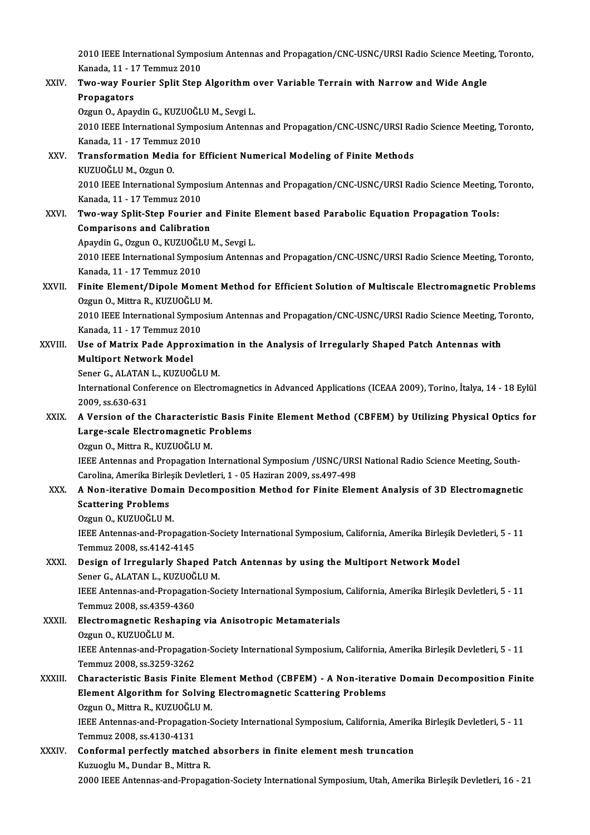2010 IEEE International Symposium Antennas and Propagation/CNC-USNC/URSI Radio Science Meeting, Toronto,<br>Kanada 11, 17 Temmur 2010 2010 IEEE International Sympo<br>Kanada, 11 - 17 Temmuz 2010<br>Turo way Fourior Split Stan 2010 IEEE International Symposium Antennas and Propagation/CNC-USNC/URSI Radio Science Meetin<br>Kanada, 11 - 17 Temmuz 2010<br>XXIV. Two-way Fourier Split Step Algorithm over Variable Terrain with Narrow and Wide Angle Kanada, 11 - 17 Temmuz 2010<br>Two-way Fourier Split Step Algorithm over Variable Terrain with Narrow and Wide Angle<br>Propagators Two-way Fourier Split Step Algorithm<br>Propagators<br>Ozgun O., Apaydin G., KUZUOĞLU M., Sevgi L.<br>2010 IEEE International Symposium Antenna Propagators<br>Ozgun O., Apaydin G., KUZUOĞLU M., Sevgi L.<br>2010 IEEE International Symposium Antennas and Propagation/CNC-USNC/URSI Radio Science Meeting, Toronto,<br>Kanada, 11, ...17 Temmuz 2010 Ozgun O., Apaydin G., KUZUOĞL<br>2010 IEEE International Sympo<br>Kanada, 11 - 17 Temmuz 2010<br>Transformation Modia for E 2010 IEEE International Symposium Antennas and Propagation/CNC-USNC/URSI Ra<br>Kanada, 11 - 17 Temmuz 2010<br>XXV. Transformation Media for Efficient Numerical Modeling of Finite Methods<br>KUZUQČUJM, Ozgun O Kanada, 11 - 17 Temmuz 2010<br>Transformation Media for Efficient Numerical Modeling of Finite Methods<br>KUZUOĞLU M., Ozgun O. Transformation Media for Efficient Numerical Modeling of Finite Methods<br>KUZUOĞLU M., Ozgun O.<br>2010 IEEE International Symposium Antennas and Propagation/CNC-USNC/URSI Radio Science Meeting, Toronto,<br>Kanada 11, 17 Temmuz 20 KUZUOĞLU M., Ozgun O.<br>2010 IEEE International Sympo<br>Kanada, 11 - 17 Temmuz 2010<br>Turo way Split Stap Fourior 2010 IEEE International Symposium Antennas and Propagation/CNC-USNC/URSI Radio Science Meeting,<br>Kanada, 11 - 17 Temmuz 2010<br>XXVI. Two-way Split-Step Fourier and Finite Element based Parabolic Equation Propagation Tools:<br>Co Kanada, 11 - 17 Temmuz 2010<br>Two-way Split-Step Fourier and Finite Element based Parabolic Equation Propagation Tools:<br>Comparisons and Calibration Two-way Split-Step Fourier and Finite I<br>Comparisons and Calibration<br>Apaydin G., Ozgun O., KUZUOĞLU M., Sevgi L.<br>2010 IEEE International Sumposium Antenne 2010 IEEE International Symposium Antennas and Propagation/CNC-USNC/URSI Radio Science Meeting, Toronto, Kanada, 11 - 17 Temmuz 2010 Apaydin G., Ozgun O., KUZUOĞL<br>2010 IEEE International Sympo<br>Kanada, 11 - 17 Temmuz 2010<br>Finito Flament (Dinole Mom 2010 IEEE International Symposium Antennas and Propagation/CNC-USNC/URSI Radio Science Meeting, Toronto,<br>Kanada, 11 - 17 Temmuz 2010<br>XXVII. Finite Element/Dipole Moment Method for Efficient Solution of Multiscale Electroma Kanada, 11 - 17 Temmuz 2010<br>Finite Element/Dipole Momen<br>Ozgun O., Mittra R., KUZUOĞLU M.<br>2010 IEEE International Sumposi: Finite Element/Dipole Moment Method for Efficient Solution of Multiscale Electromagnetic Problems<br>Ozgun O., Mittra R., KUZUOĞLU M.<br>2010 IEEE International Symposium Antennas and Propagation/CNC-USNC/URSI Radio Science Meet Ozgun O., Mittra R., KUZUOĞLU<br>2010 IEEE International Sympo<br>Kanada, 11 - 17 Temmuz 2010<br>Hae of Matriy Bade Annreyi 2010 IEEE International Symposium Antennas and Propagation/CNC-USNC/URSI Radio Science Meeting, T<br>Kanada, 11 - 17 Temmuz 2010<br>XXVIII. Use of Matrix Pade Approximation in the Analysis of Irregularly Shaped Patch Antennas wi Kanada, 11 - 17 Temmuz 2010<br>Use of Matrix Pade Approximation in the Analysis of Irregularly Shaped Patch Antennas with<br>Multiport Network Model Sener G., ALATAN L., KUZUOĞLU M. Multiport Network Model<br>Sener G., ALATAN L., KUZUOĞLU M.<br>International Conference on Electromagnetics in Advanced Applications (ICEAA 2009), Torino, İtalya, 14 - 18 Eylül Sener G., ALATAN<br>International Conf<br>2009, ss.630-631<br>A Versian of the International Conference on Electromagnetics in Advanced Applications (ICEAA 2009), Torino, İtalya, 14 - 18 Eylül<br>2009, ss.630-631<br>XXIX. A Version of the Characteristic Basis Finite Element Method (CBFEM) by Utilizing Phys 2009, ss.630-631<br>A Version of the Characteristic Basis F<br>Large-scale Electromagnetic Problems<br>Ozzun O. Mittre B. KUZUQČUJ M A Version of the Characteristi<br>Large-scale Electromagnetic P<br>Ozgun O., Mittra R., KUZUOĞLU M.<br>IEEE Antonnes and Proposation I. Large-scale Electromagnetic Problems<br>Ozgun O., Mittra R., KUZUOĞLU M.<br>IEEE Antennas and Propagation International Symposium /USNC/URSI National Radio Science Meeting, South-<br>Carolina Amerika Birlesik Devlatleri 1, .05 Hagi Ozgun O., Mittra R., KUZUOĞLU M.<br>IEEE Antennas and Propagation International Symposium /USNC/URS<br>Carolina, Amerika Birleşik Devletleri, 1 - 05 Haziran 2009, ss.497-498<br>A Non-itenative Domain Decemnesition Method for Einite IEEE Antennas and Propagation International Symposium /USNC/URSI National Radio Science Meeting, South-<br>Carolina, Amerika Birleşik Devletleri, 1 - 05 Haziran 2009, ss.497-498<br>XXX. A Non-iterative Domain Decomposition Metho Carolina, Amerika Birleşik Devletleri, 1 - 05 Haziran 2009, ss.497-498<br>A Non-iterative Domain Decomposition Method for Finite Eler<br>Scattering Problems<br>Ozgun O., KUZUOĞLU M. A Non-iterative Domain Decomposition Method for Finite Element Analysis of 3D Electromagnetic IEEE Antennas-and-Propagation-Society International Symposium, California, Amerika Birleşik Devletleri, 5 - 11 Temmuz 2008, ss.4142-4145 IEEE Antennas-and-Propagation-Society International Symposium, California, Amerika Birleşik I<br>Temmuz 2008, ss.4142-4145<br>XXXI. Design of Irregularly Shaped Patch Antennas by using the Multiport Network Model<br>Senar C. ALATAN Temmuz 2008, ss.4142-4145<br>Design of Irregularly Shaped Pa<br>Sener G., ALATAN L., KUZUOĞLU M.<br><sup>IEEE</sup> Antennes and Prenagation So Design of Irregularly Shaped Patch Antennas by using the Multiport Network Model<br>Sener G., ALATAN L., KUZUOĞLU M.<br>IEEE Antennas-and-Propagation-Society International Symposium, California, Amerika Birleşik Devletleri, 5 - Sener G., ALATAN L., KUZUOĞ<br>IEEE Antennas-and-Propagati<br>Temmuz 2008, ss.4359-4360<br>Electromagnatic Bechanin

IEEE Antennas-and-Propagation-Society International Symposium<br>Temmuz 2008, ss.4359-4360<br>XXXII. Electromagnetic Reshaping via Anisotropic Metamaterials<br>Ozgun O. KUZUOČLU M Temmuz 2008, ss.4359-4360<br>Electromagnetic Reshaping via Anisotropic Metamaterials<br>Ozgun O., KUZUOĞLU M. Electromagnetic Reshaping via Anisotropic Metamaterials<br>Ozgun 0., KUZUOĞLU M.<br>IEEE Antennas-and-Propagation-Society International Symposium, California, Amerika Birleşik Devletleri, 5 - 11<br>Temmuz 2008, 88.3259.2362. Ozgun O., KUZUOĞLU M.<br>IEEE Antennas-and-Propagati<br>Temmuz 2008, ss.3259-3262<br>Characteristic Boeis Einite IEEE Antennas-and-Propagation-Society International Symposium, California, Amerika Birleşik Devletleri, 5 - 11<br>Temmuz 2008, ss.3259-3262<br>XXXIII. Characteristic Basis Finite Element Method (CBFEM) - A Non-iterative Domain D

Temmuz 2008, ss.3259-3262<br>Characteristic Basis Finite Element Method (CBFEM) - A Non-iterativ<br>Element Algorithm for Solving Electromagnetic Scattering Problems<br>Ozgun O. Mittre B. KUZUOČLU M Characteristic Basis Finite Ele<br>Element Algorithm for Solving<br>Ozgun O., Mittra R., KUZUOĞLU M.<br>IEEE Antonnes and Proposation S Element Algorithm for Solving Electromagnetic Scattering Problems<br>Ozgun O., Mittra R., KUZUOĞLU M.<br>IEEE Antennas-and-Propagation-Society International Symposium, California, Amerika Birleşik Devletleri, 5 - 11<br>Temmus 2008, Ozgun O., Mittra R., KUZUOĞLU M.<br>IEEE Antennas-and-Propagation-S<br>Temmuz 2008, ss.4130-4131 IEEE Antennas-and-Propagation-Society International Symposium, California, Amerik<br>Temmuz 2008, ss.4130-4131<br>XXXIV. Conformal perfectly matched absorbers in finite element mesh truncation<br>Viruogly M. Dundan P. Mittpe P.

Conformal perfectly matched absorbers in finite element mesh truncation<br>Kuzuoglu M., Dundar B., Mittra R. 2000 IEEE Antennas-and-Propagation-Society International Symposium, Utah, Amerika Birleşik Devletleri, 16 - 21